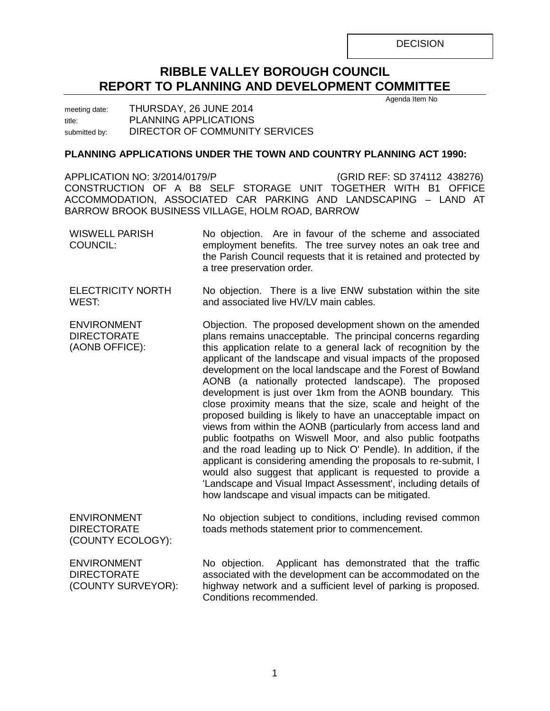**DECISION** 

# **RIBBLE VALLEY BOROUGH COUNCIL REPORT TO PLANNING AND DEVELOPMENT COMMITTEE**

meeting date: THURSDAY, 26 JUNE 2014 title: PLANNING APPLICATIONS submitted by: DIRECTOR OF COMMUNITY SERVICES

# **PLANNING APPLICATIONS UNDER THE TOWN AND COUNTRY PLANNING ACT 1990:**

APPLICATION NO: 3/2014/0179/P (GRID REF: SD 374112 438276) CONSTRUCTION OF A B8 SELF STORAGE UNIT TOGETHER WITH B1 OFFICE ACCOMMODATION, ASSOCIATED CAR PARKING AND LANDSCAPING – LAND AT BARROW BROOK BUSINESS VILLAGE, HOLM ROAD, BARROW

| <b>WISWELL PARISH</b><br>COUNCIL:                              | No objection. Are in favour of the scheme and associated<br>employment benefits. The tree survey notes an oak tree and<br>the Parish Council requests that it is retained and protected by<br>a tree preservation order.                                                                                                                                                                                                                                                                                                                                                                                                                                                                                                                                                                                                                                                                                                                                                                                                                         |
|----------------------------------------------------------------|--------------------------------------------------------------------------------------------------------------------------------------------------------------------------------------------------------------------------------------------------------------------------------------------------------------------------------------------------------------------------------------------------------------------------------------------------------------------------------------------------------------------------------------------------------------------------------------------------------------------------------------------------------------------------------------------------------------------------------------------------------------------------------------------------------------------------------------------------------------------------------------------------------------------------------------------------------------------------------------------------------------------------------------------------|
| <b>ELECTRICITY NORTH</b><br>WEST:                              | No objection. There is a live ENW substation within the site<br>and associated live HV/LV main cables.                                                                                                                                                                                                                                                                                                                                                                                                                                                                                                                                                                                                                                                                                                                                                                                                                                                                                                                                           |
| <b>ENVIRONMENT</b><br><b>DIRECTORATE</b><br>(AONB OFFICE):     | Objection. The proposed development shown on the amended<br>plans remains unacceptable. The principal concerns regarding<br>this application relate to a general lack of recognition by the<br>applicant of the landscape and visual impacts of the proposed<br>development on the local landscape and the Forest of Bowland<br>AONB (a nationally protected landscape). The proposed<br>development is just over 1km from the AONB boundary. This<br>close proximity means that the size, scale and height of the<br>proposed building is likely to have an unacceptable impact on<br>views from within the AONB (particularly from access land and<br>public footpaths on Wiswell Moor, and also public footpaths<br>and the road leading up to Nick O' Pendle). In addition, if the<br>applicant is considering amending the proposals to re-submit, I<br>would also suggest that applicant is requested to provide a<br>'Landscape and Visual Impact Assessment', including details of<br>how landscape and visual impacts can be mitigated. |
| <b>ENVIRONMENT</b><br><b>DIRECTORATE</b><br>(COUNTY ECOLOGY):  | No objection subject to conditions, including revised common<br>toads methods statement prior to commencement.                                                                                                                                                                                                                                                                                                                                                                                                                                                                                                                                                                                                                                                                                                                                                                                                                                                                                                                                   |
| <b>ENVIRONMENT</b><br><b>DIRECTORATE</b><br>(COUNTY SURVEYOR): | No objection. Applicant has demonstrated that the traffic<br>associated with the development can be accommodated on the<br>highway network and a sufficient level of parking is proposed.<br>Conditions recommended.                                                                                                                                                                                                                                                                                                                                                                                                                                                                                                                                                                                                                                                                                                                                                                                                                             |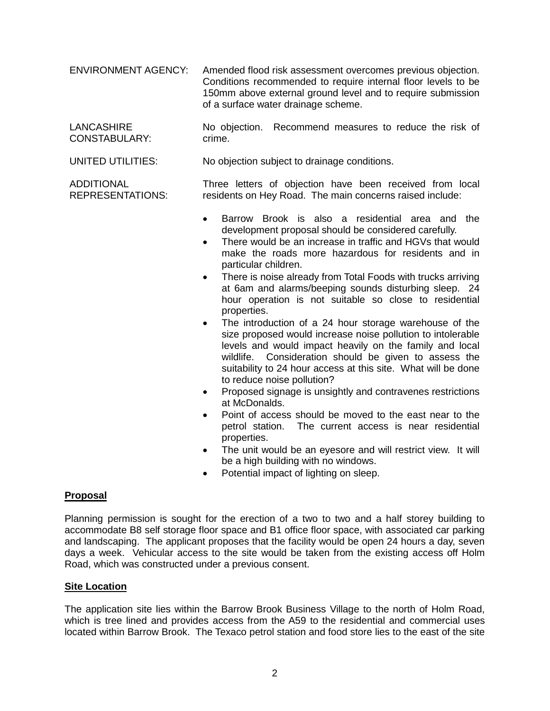ENVIRONMENT AGENCY: Amended flood risk assessment overcomes previous objection. Conditions recommended to require internal floor levels to be 150mm above external ground level and to require submission of a surface water drainage scheme.

**LANCASHIRE** CONSTABULARY: No objection. Recommend measures to reduce the risk of crime.

UNITED UTILITIES: No objection subject to drainage conditions.

Three letters of objection have been received from local residents on Hey Road. The main concerns raised include:

- Barrow Brook is also a residential area and the development proposal should be considered carefully.
- There would be an increase in traffic and HGVs that would make the roads more hazardous for residents and in particular children.
- There is noise already from Total Foods with trucks arriving at 6am and alarms/beeping sounds disturbing sleep. 24 hour operation is not suitable so close to residential properties.
- The introduction of a 24 hour storage warehouse of the size proposed would increase noise pollution to intolerable levels and would impact heavily on the family and local wildlife. Consideration should be given to assess the suitability to 24 hour access at this site. What will be done to reduce noise pollution?
- Proposed signage is unsightly and contravenes restrictions at McDonalds.
- Point of access should be moved to the east near to the petrol station. The current access is near residential properties.
- The unit would be an eyesore and will restrict view. It will be a high building with no windows.
- Potential impact of lighting on sleep.

## **Proposal**

ADDITIONAL

REPRESENTATIONS:

Planning permission is sought for the erection of a two to two and a half storey building to accommodate B8 self storage floor space and B1 office floor space, with associated car parking and landscaping. The applicant proposes that the facility would be open 24 hours a day, seven days a week. Vehicular access to the site would be taken from the existing access off Holm Road, which was constructed under a previous consent.

#### **Site Location**

The application site lies within the Barrow Brook Business Village to the north of Holm Road, which is tree lined and provides access from the A59 to the residential and commercial uses located within Barrow Brook. The Texaco petrol station and food store lies to the east of the site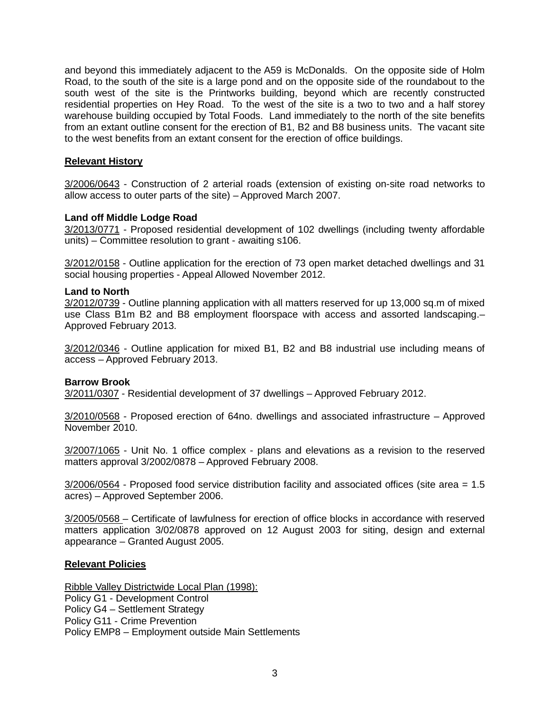and beyond this immediately adjacent to the A59 is McDonalds. On the opposite side of Holm Road, to the south of the site is a large pond and on the opposite side of the roundabout to the south west of the site is the Printworks building, beyond which are recently constructed residential properties on Hey Road. To the west of the site is a two to two and a half storey warehouse building occupied by Total Foods. Land immediately to the north of the site benefits from an extant outline consent for the erection of B1, B2 and B8 business units. The vacant site to the west benefits from an extant consent for the erection of office buildings.

## **Relevant History**

3/2006/0643 - Construction of 2 arterial roads (extension of existing on-site road networks to allow access to outer parts of the site) – Approved March 2007.

## **Land off Middle Lodge Road**

3/2013/0771 - Proposed residential development of 102 dwellings (including twenty affordable units) – Committee resolution to grant - awaiting s106.

3/2012/0158 - Outline application for the erection of 73 open market detached dwellings and 31 social housing properties - Appeal Allowed November 2012.

#### **Land to North**

3/2012/0739 - Outline planning application with all matters reserved for up 13,000 sq.m of mixed use Class B1m B2 and B8 employment floorspace with access and assorted landscaping.– Approved February 2013.

3/2012/0346 - Outline application for mixed B1, B2 and B8 industrial use including means of access – Approved February 2013.

#### **Barrow Brook**

3/2011/0307 - Residential development of 37 dwellings – Approved February 2012.

3/2010/0568 - Proposed erection of 64no. dwellings and associated infrastructure – Approved November 2010.

3/2007/1065 - Unit No. 1 office complex - plans and elevations as a revision to the reserved matters approval 3/2002/0878 – Approved February 2008.

3/2006/0564 - Proposed food service distribution facility and associated offices (site area = 1.5 acres) – Approved September 2006.

3/2005/0568 – Certificate of lawfulness for erection of office blocks in accordance with reserved matters application 3/02/0878 approved on 12 August 2003 for siting, design and external appearance – Granted August 2005.

#### **Relevant Policies**

Ribble Valley Districtwide Local Plan (1998):

Policy G1 - Development Control Policy G4 – Settlement Strategy Policy G11 - Crime Prevention Policy EMP8 – Employment outside Main Settlements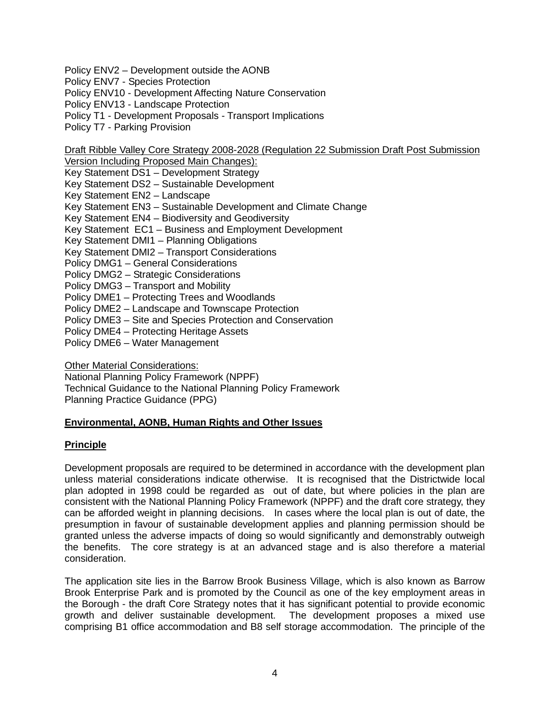Policy ENV2 – Development outside the AONB

Policy ENV7 - Species Protection

Policy ENV10 - Development Affecting Nature Conservation

Policy ENV13 - Landscape Protection

Policy T1 - Development Proposals - Transport Implications

Policy T7 - Parking Provision

Draft Ribble Valley Core Strategy 2008-2028 (Regulation 22 Submission Draft Post Submission

Version Including Proposed Main Changes): Key Statement DS1 – Development Strategy Key Statement DS2 – Sustainable Development Key Statement EN2 – Landscape Key Statement EN3 – Sustainable Development and Climate Change Key Statement EN4 – Biodiversity and Geodiversity Key Statement EC1 – Business and Employment Development Key Statement DMI1 – Planning Obligations Key Statement DMI2 – Transport Considerations Policy DMG1 – General Considerations Policy DMG2 – Strategic Considerations Policy DMG3 – Transport and Mobility Policy DME1 – Protecting Trees and Woodlands Policy DME2 – Landscape and Townscape Protection Policy DME3 – Site and Species Protection and Conservation Policy DME4 – Protecting Heritage Assets Policy DME6 – Water Management

**Other Material Considerations:** 

National Planning Policy Framework (NPPF)

Technical Guidance to the National Planning Policy Framework Planning Practice Guidance (PPG)

## **Environmental, AONB, Human Rights and Other Issues**

## **Principle**

Development proposals are required to be determined in accordance with the development plan unless material considerations indicate otherwise. It is recognised that the Districtwide local plan adopted in 1998 could be regarded as out of date, but where policies in the plan are consistent with the National Planning Policy Framework (NPPF) and the draft core strategy, they can be afforded weight in planning decisions. In cases where the local plan is out of date, the presumption in favour of sustainable development applies and planning permission should be granted unless the adverse impacts of doing so would significantly and demonstrably outweigh the benefits. The core strategy is at an advanced stage and is also therefore a material consideration.

The application site lies in the Barrow Brook Business Village, which is also known as Barrow Brook Enterprise Park and is promoted by the Council as one of the key employment areas in the Borough - the draft Core Strategy notes that it has significant potential to provide economic growth and deliver sustainable development. The development proposes a mixed use comprising B1 office accommodation and B8 self storage accommodation. The principle of the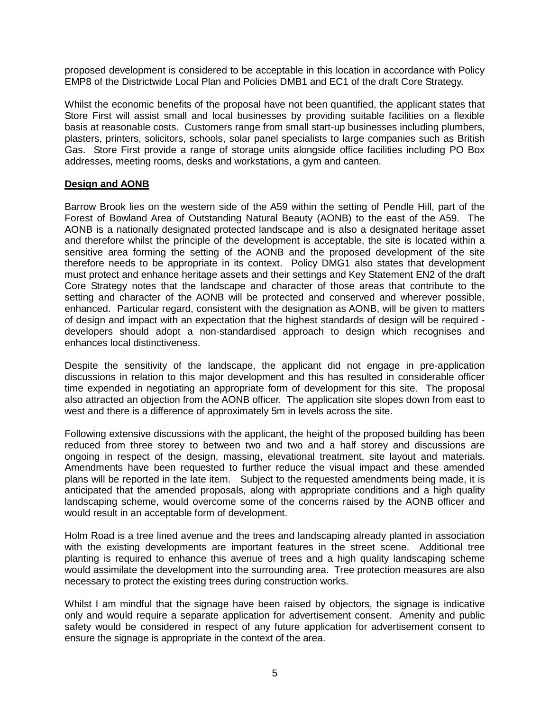proposed development is considered to be acceptable in this location in accordance with Policy EMP8 of the Districtwide Local Plan and Policies DMB1 and EC1 of the draft Core Strategy.

Whilst the economic benefits of the proposal have not been quantified, the applicant states that Store First will assist small and local businesses by providing suitable facilities on a flexible basis at reasonable costs. Customers range from small start-up businesses including plumbers, plasters, printers, solicitors, schools, solar panel specialists to large companies such as British Gas. Store First provide a range of storage units alongside office facilities including PO Box addresses, meeting rooms, desks and workstations, a gym and canteen.

## **Design and AONB**

Barrow Brook lies on the western side of the A59 within the setting of Pendle Hill, part of the Forest of Bowland Area of Outstanding Natural Beauty (AONB) to the east of the A59. The AONB is a nationally designated protected landscape and is also a designated heritage asset and therefore whilst the principle of the development is acceptable, the site is located within a sensitive area forming the setting of the AONB and the proposed development of the site therefore needs to be appropriate in its context. Policy DMG1 also states that development must protect and enhance heritage assets and their settings and Key Statement EN2 of the draft Core Strategy notes that the landscape and character of those areas that contribute to the setting and character of the AONB will be protected and conserved and wherever possible, enhanced. Particular regard, consistent with the designation as AONB, will be given to matters of design and impact with an expectation that the highest standards of design will be required developers should adopt a non-standardised approach to design which recognises and enhances local distinctiveness.

Despite the sensitivity of the landscape, the applicant did not engage in pre-application discussions in relation to this major development and this has resulted in considerable officer time expended in negotiating an appropriate form of development for this site. The proposal also attracted an objection from the AONB officer. The application site slopes down from east to west and there is a difference of approximately 5m in levels across the site.

Following extensive discussions with the applicant, the height of the proposed building has been reduced from three storey to between two and two and a half storey and discussions are ongoing in respect of the design, massing, elevational treatment, site layout and materials. Amendments have been requested to further reduce the visual impact and these amended plans will be reported in the late item. Subject to the requested amendments being made, it is anticipated that the amended proposals, along with appropriate conditions and a high quality landscaping scheme, would overcome some of the concerns raised by the AONB officer and would result in an acceptable form of development.

Holm Road is a tree lined avenue and the trees and landscaping already planted in association with the existing developments are important features in the street scene. Additional tree planting is required to enhance this avenue of trees and a high quality landscaping scheme would assimilate the development into the surrounding area. Tree protection measures are also necessary to protect the existing trees during construction works.

Whilst I am mindful that the signage have been raised by objectors, the signage is indicative only and would require a separate application for advertisement consent. Amenity and public safety would be considered in respect of any future application for advertisement consent to ensure the signage is appropriate in the context of the area.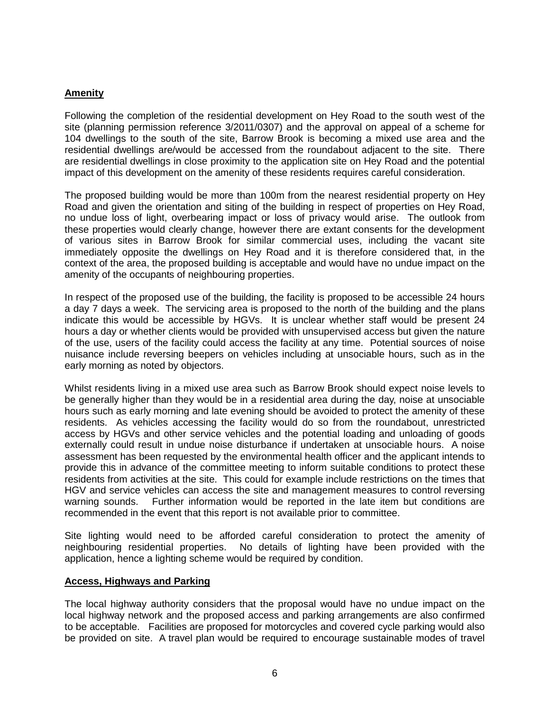# **Amenity**

Following the completion of the residential development on Hey Road to the south west of the site (planning permission reference 3/2011/0307) and the approval on appeal of a scheme for 104 dwellings to the south of the site, Barrow Brook is becoming a mixed use area and the residential dwellings are/would be accessed from the roundabout adjacent to the site. There are residential dwellings in close proximity to the application site on Hey Road and the potential impact of this development on the amenity of these residents requires careful consideration.

The proposed building would be more than 100m from the nearest residential property on Hey Road and given the orientation and siting of the building in respect of properties on Hey Road, no undue loss of light, overbearing impact or loss of privacy would arise. The outlook from these properties would clearly change, however there are extant consents for the development of various sites in Barrow Brook for similar commercial uses, including the vacant site immediately opposite the dwellings on Hey Road and it is therefore considered that, in the context of the area, the proposed building is acceptable and would have no undue impact on the amenity of the occupants of neighbouring properties.

In respect of the proposed use of the building, the facility is proposed to be accessible 24 hours a day 7 days a week. The servicing area is proposed to the north of the building and the plans indicate this would be accessible by HGVs. It is unclear whether staff would be present 24 hours a day or whether clients would be provided with unsupervised access but given the nature of the use, users of the facility could access the facility at any time. Potential sources of noise nuisance include reversing beepers on vehicles including at unsociable hours, such as in the early morning as noted by objectors.

Whilst residents living in a mixed use area such as Barrow Brook should expect noise levels to be generally higher than they would be in a residential area during the day, noise at unsociable hours such as early morning and late evening should be avoided to protect the amenity of these residents. As vehicles accessing the facility would do so from the roundabout, unrestricted access by HGVs and other service vehicles and the potential loading and unloading of goods externally could result in undue noise disturbance if undertaken at unsociable hours. A noise assessment has been requested by the environmental health officer and the applicant intends to provide this in advance of the committee meeting to inform suitable conditions to protect these residents from activities at the site. This could for example include restrictions on the times that HGV and service vehicles can access the site and management measures to control reversing warning sounds. Further information would be reported in the late item but conditions are recommended in the event that this report is not available prior to committee.

Site lighting would need to be afforded careful consideration to protect the amenity of neighbouring residential properties. No details of lighting have been provided with the application, hence a lighting scheme would be required by condition.

## **Access, Highways and Parking**

The local highway authority considers that the proposal would have no undue impact on the local highway network and the proposed access and parking arrangements are also confirmed to be acceptable. Facilities are proposed for motorcycles and covered cycle parking would also be provided on site. A travel plan would be required to encourage sustainable modes of travel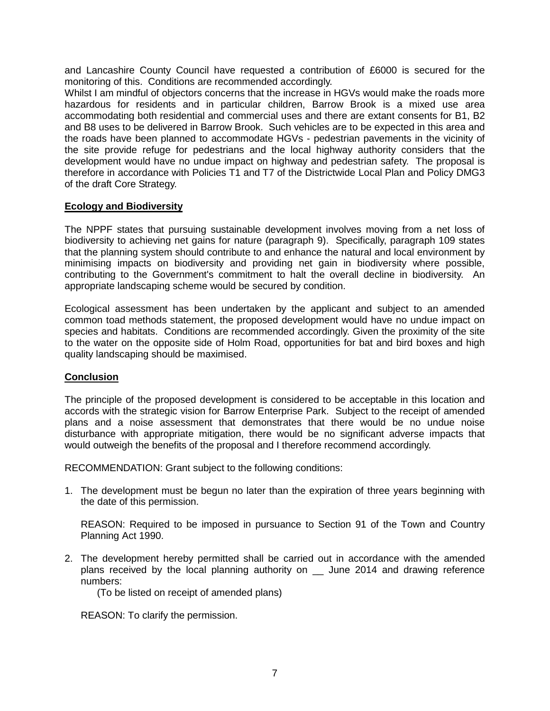and Lancashire County Council have requested a contribution of £6000 is secured for the monitoring of this. Conditions are recommended accordingly.

Whilst I am mindful of objectors concerns that the increase in HGVs would make the roads more hazardous for residents and in particular children, Barrow Brook is a mixed use area accommodating both residential and commercial uses and there are extant consents for B1, B2 and B8 uses to be delivered in Barrow Brook. Such vehicles are to be expected in this area and the roads have been planned to accommodate HGVs - pedestrian pavements in the vicinity of the site provide refuge for pedestrians and the local highway authority considers that the development would have no undue impact on highway and pedestrian safety. The proposal is therefore in accordance with Policies T1 and T7 of the Districtwide Local Plan and Policy DMG3 of the draft Core Strategy.

## **Ecology and Biodiversity**

The NPPF states that pursuing sustainable development involves moving from a net loss of biodiversity to achieving net gains for nature (paragraph 9). Specifically, paragraph 109 states that the planning system should contribute to and enhance the natural and local environment by minimising impacts on biodiversity and providing net gain in biodiversity where possible, contributing to the Government's commitment to halt the overall decline in biodiversity. An appropriate landscaping scheme would be secured by condition.

Ecological assessment has been undertaken by the applicant and subject to an amended common toad methods statement, the proposed development would have no undue impact on species and habitats. Conditions are recommended accordingly. Given the proximity of the site to the water on the opposite side of Holm Road, opportunities for bat and bird boxes and high quality landscaping should be maximised.

## **Conclusion**

The principle of the proposed development is considered to be acceptable in this location and accords with the strategic vision for Barrow Enterprise Park. Subject to the receipt of amended plans and a noise assessment that demonstrates that there would be no undue noise disturbance with appropriate mitigation, there would be no significant adverse impacts that would outweigh the benefits of the proposal and I therefore recommend accordingly.

RECOMMENDATION: Grant subject to the following conditions:

1. The development must be begun no later than the expiration of three years beginning with the date of this permission.

REASON: Required to be imposed in pursuance to Section 91 of the Town and Country Planning Act 1990.

2. The development hereby permitted shall be carried out in accordance with the amended plans received by the local planning authority on \_\_ June 2014 and drawing reference numbers:

(To be listed on receipt of amended plans)

REASON: To clarify the permission.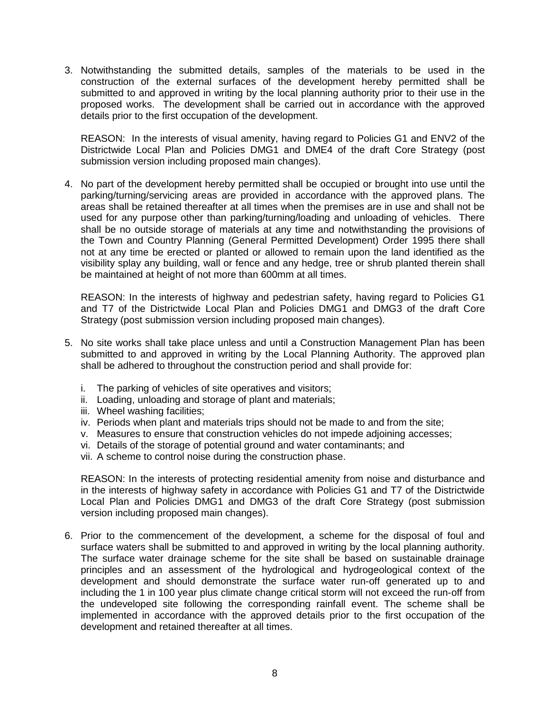3. Notwithstanding the submitted details, samples of the materials to be used in the construction of the external surfaces of the development hereby permitted shall be submitted to and approved in writing by the local planning authority prior to their use in the proposed works. The development shall be carried out in accordance with the approved details prior to the first occupation of the development.

REASON: In the interests of visual amenity, having regard to Policies G1 and ENV2 of the Districtwide Local Plan and Policies DMG1 and DME4 of the draft Core Strategy (post submission version including proposed main changes).

4. No part of the development hereby permitted shall be occupied or brought into use until the parking/turning/servicing areas are provided in accordance with the approved plans. The areas shall be retained thereafter at all times when the premises are in use and shall not be used for any purpose other than parking/turning/loading and unloading of vehicles. There shall be no outside storage of materials at any time and notwithstanding the provisions of the Town and Country Planning (General Permitted Development) Order 1995 there shall not at any time be erected or planted or allowed to remain upon the land identified as the visibility splay any building, wall or fence and any hedge, tree or shrub planted therein shall be maintained at height of not more than 600mm at all times.

REASON: In the interests of highway and pedestrian safety, having regard to Policies G1 and T7 of the Districtwide Local Plan and Policies DMG1 and DMG3 of the draft Core Strategy (post submission version including proposed main changes).

- 5. No site works shall take place unless and until a Construction Management Plan has been submitted to and approved in writing by the Local Planning Authority. The approved plan shall be adhered to throughout the construction period and shall provide for:
	- i. The parking of vehicles of site operatives and visitors;
	- ii. Loading, unloading and storage of plant and materials;
	- iii. Wheel washing facilities;
	- iv. Periods when plant and materials trips should not be made to and from the site;
	- v. Measures to ensure that construction vehicles do not impede adjoining accesses;
	- vi. Details of the storage of potential ground and water contaminants; and
	- vii. A scheme to control noise during the construction phase.

REASON: In the interests of protecting residential amenity from noise and disturbance and in the interests of highway safety in accordance with Policies G1 and T7 of the Districtwide Local Plan and Policies DMG1 and DMG3 of the draft Core Strategy (post submission version including proposed main changes).

6. Prior to the commencement of the development, a scheme for the disposal of foul and surface waters shall be submitted to and approved in writing by the local planning authority. The surface water drainage scheme for the site shall be based on sustainable drainage principles and an assessment of the hydrological and hydrogeological context of the development and should demonstrate the surface water run-off generated up to and including the 1 in 100 year plus climate change critical storm will not exceed the run-off from the undeveloped site following the corresponding rainfall event. The scheme shall be implemented in accordance with the approved details prior to the first occupation of the development and retained thereafter at all times.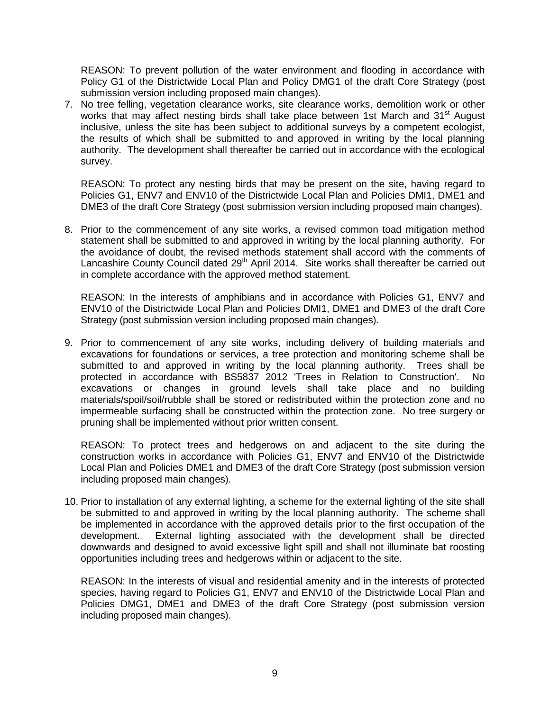REASON: To prevent pollution of the water environment and flooding in accordance with Policy G1 of the Districtwide Local Plan and Policy DMG1 of the draft Core Strategy (post submission version including proposed main changes).

7. No tree felling, vegetation clearance works, site clearance works, demolition work or other works that may affect nesting birds shall take place between 1st March and 31<sup>st</sup> August inclusive, unless the site has been subject to additional surveys by a competent ecologist, the results of which shall be submitted to and approved in writing by the local planning authority. The development shall thereafter be carried out in accordance with the ecological survey.

REASON: To protect any nesting birds that may be present on the site, having regard to Policies G1, ENV7 and ENV10 of the Districtwide Local Plan and Policies DMI1, DME1 and DME3 of the draft Core Strategy (post submission version including proposed main changes).

8. Prior to the commencement of any site works, a revised common toad mitigation method statement shall be submitted to and approved in writing by the local planning authority. For the avoidance of doubt, the revised methods statement shall accord with the comments of Lancashire County Council dated  $29<sup>th</sup>$  April 2014. Site works shall thereafter be carried out in complete accordance with the approved method statement.

REASON: In the interests of amphibians and in accordance with Policies G1, ENV7 and ENV10 of the Districtwide Local Plan and Policies DMI1, DME1 and DME3 of the draft Core Strategy (post submission version including proposed main changes).

9. Prior to commencement of any site works, including delivery of building materials and excavations for foundations or services, a tree protection and monitoring scheme shall be submitted to and approved in writing by the local planning authority. Trees shall be protected in accordance with BS5837 2012 'Trees in Relation to Construction'. No excavations or changes in ground levels shall take place and no building materials/spoil/soil/rubble shall be stored or redistributed within the protection zone and no impermeable surfacing shall be constructed within the protection zone. No tree surgery or pruning shall be implemented without prior written consent.

REASON: To protect trees and hedgerows on and adjacent to the site during the construction works in accordance with Policies G1, ENV7 and ENV10 of the Districtwide Local Plan and Policies DME1 and DME3 of the draft Core Strategy (post submission version including proposed main changes).

10. Prior to installation of any external lighting, a scheme for the external lighting of the site shall be submitted to and approved in writing by the local planning authority. The scheme shall be implemented in accordance with the approved details prior to the first occupation of the development. External lighting associated with the development shall be directed downwards and designed to avoid excessive light spill and shall not illuminate bat roosting opportunities including trees and hedgerows within or adjacent to the site.

REASON: In the interests of visual and residential amenity and in the interests of protected species, having regard to Policies G1, ENV7 and ENV10 of the Districtwide Local Plan and Policies DMG1, DME1 and DME3 of the draft Core Strategy (post submission version including proposed main changes).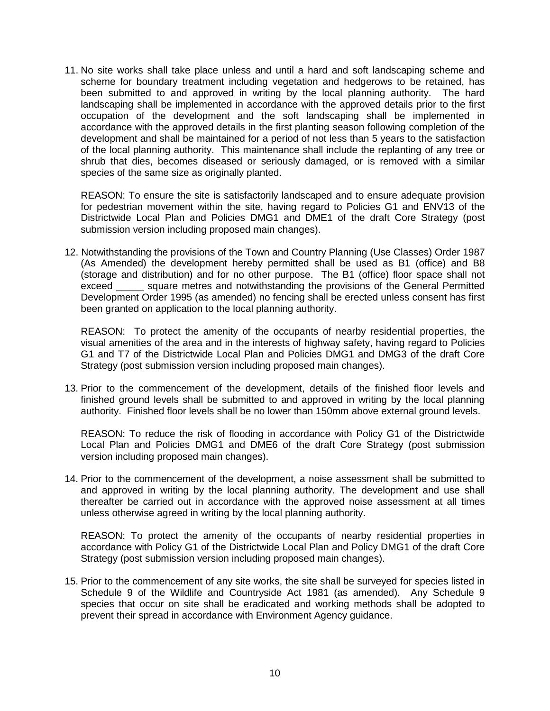11. No site works shall take place unless and until a hard and soft landscaping scheme and scheme for boundary treatment including vegetation and hedgerows to be retained, has been submitted to and approved in writing by the local planning authority. The hard landscaping shall be implemented in accordance with the approved details prior to the first occupation of the development and the soft landscaping shall be implemented in accordance with the approved details in the first planting season following completion of the development and shall be maintained for a period of not less than 5 years to the satisfaction of the local planning authority. This maintenance shall include the replanting of any tree or shrub that dies, becomes diseased or seriously damaged, or is removed with a similar species of the same size as originally planted.

REASON: To ensure the site is satisfactorily landscaped and to ensure adequate provision for pedestrian movement within the site, having regard to Policies G1 and ENV13 of the Districtwide Local Plan and Policies DMG1 and DME1 of the draft Core Strategy (post submission version including proposed main changes).

12. Notwithstanding the provisions of the Town and Country Planning (Use Classes) Order 1987 (As Amended) the development hereby permitted shall be used as B1 (office) and B8 (storage and distribution) and for no other purpose. The B1 (office) floor space shall not exceed square metres and notwithstanding the provisions of the General Permitted Development Order 1995 (as amended) no fencing shall be erected unless consent has first been granted on application to the local planning authority.

REASON: To protect the amenity of the occupants of nearby residential properties, the visual amenities of the area and in the interests of highway safety, having regard to Policies G1 and T7 of the Districtwide Local Plan and Policies DMG1 and DMG3 of the draft Core Strategy (post submission version including proposed main changes).

13. Prior to the commencement of the development, details of the finished floor levels and finished ground levels shall be submitted to and approved in writing by the local planning authority. Finished floor levels shall be no lower than 150mm above external ground levels.

REASON: To reduce the risk of flooding in accordance with Policy G1 of the Districtwide Local Plan and Policies DMG1 and DME6 of the draft Core Strategy (post submission version including proposed main changes).

14. Prior to the commencement of the development, a noise assessment shall be submitted to and approved in writing by the local planning authority. The development and use shall thereafter be carried out in accordance with the approved noise assessment at all times unless otherwise agreed in writing by the local planning authority.

REASON: To protect the amenity of the occupants of nearby residential properties in accordance with Policy G1 of the Districtwide Local Plan and Policy DMG1 of the draft Core Strategy (post submission version including proposed main changes).

15. Prior to the commencement of any site works, the site shall be surveyed for species listed in Schedule 9 of the Wildlife and Countryside Act 1981 (as amended). Any Schedule 9 species that occur on site shall be eradicated and working methods shall be adopted to prevent their spread in accordance with Environment Agency guidance.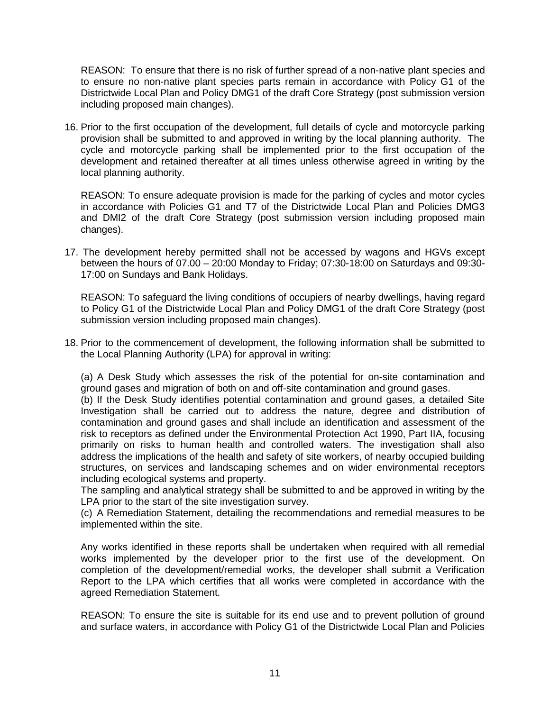REASON: To ensure that there is no risk of further spread of a non-native plant species and to ensure no non-native plant species parts remain in accordance with Policy G1 of the Districtwide Local Plan and Policy DMG1 of the draft Core Strategy (post submission version including proposed main changes).

16. Prior to the first occupation of the development, full details of cycle and motorcycle parking provision shall be submitted to and approved in writing by the local planning authority. The cycle and motorcycle parking shall be implemented prior to the first occupation of the development and retained thereafter at all times unless otherwise agreed in writing by the local planning authority.

REASON: To ensure adequate provision is made for the parking of cycles and motor cycles in accordance with Policies G1 and T7 of the Districtwide Local Plan and Policies DMG3 and DMI2 of the draft Core Strategy (post submission version including proposed main changes).

17. The development hereby permitted shall not be accessed by wagons and HGVs except between the hours of 07.00 – 20:00 Monday to Friday; 07:30-18:00 on Saturdays and 09:30- 17:00 on Sundays and Bank Holidays.

REASON: To safeguard the living conditions of occupiers of nearby dwellings, having regard to Policy G1 of the Districtwide Local Plan and Policy DMG1 of the draft Core Strategy (post submission version including proposed main changes).

18. Prior to the commencement of development, the following information shall be submitted to the Local Planning Authority (LPA) for approval in writing:

(a) A Desk Study which assesses the risk of the potential for on-site contamination and ground gases and migration of both on and off-site contamination and ground gases.

(b) If the Desk Study identifies potential contamination and ground gases, a detailed Site Investigation shall be carried out to address the nature, degree and distribution of contamination and ground gases and shall include an identification and assessment of the risk to receptors as defined under the Environmental Protection Act 1990, Part IIA, focusing primarily on risks to human health and controlled waters. The investigation shall also address the implications of the health and safety of site workers, of nearby occupied building structures, on services and landscaping schemes and on wider environmental receptors including ecological systems and property.

The sampling and analytical strategy shall be submitted to and be approved in writing by the LPA prior to the start of the site investigation survey.

(c) A Remediation Statement, detailing the recommendations and remedial measures to be implemented within the site.

Any works identified in these reports shall be undertaken when required with all remedial works implemented by the developer prior to the first use of the development. On completion of the development/remedial works, the developer shall submit a Verification Report to the LPA which certifies that all works were completed in accordance with the agreed Remediation Statement.

REASON: To ensure the site is suitable for its end use and to prevent pollution of ground and surface waters, in accordance with Policy G1 of the Districtwide Local Plan and Policies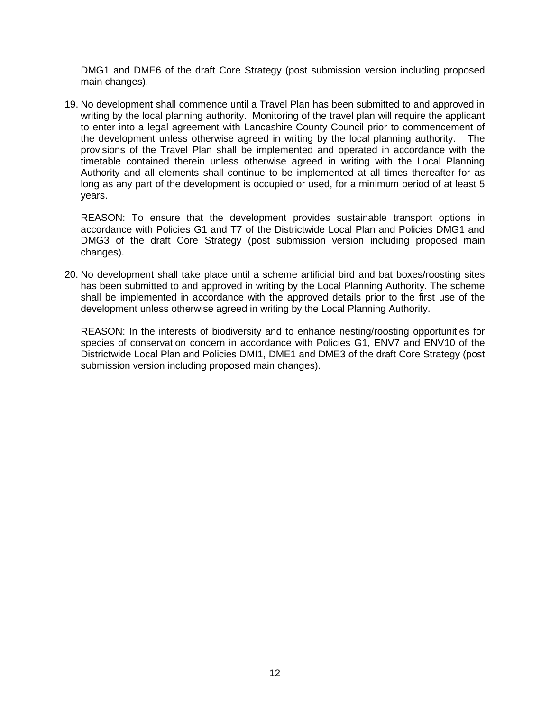DMG1 and DME6 of the draft Core Strategy (post submission version including proposed main changes).

19. No development shall commence until a Travel Plan has been submitted to and approved in writing by the local planning authority. Monitoring of the travel plan will require the applicant to enter into a legal agreement with Lancashire County Council prior to commencement of the development unless otherwise agreed in writing by the local planning authority. The the development unless otherwise agreed in writing by the local planning authority. provisions of the Travel Plan shall be implemented and operated in accordance with the timetable contained therein unless otherwise agreed in writing with the Local Planning Authority and all elements shall continue to be implemented at all times thereafter for as long as any part of the development is occupied or used, for a minimum period of at least 5 years.

REASON: To ensure that the development provides sustainable transport options in accordance with Policies G1 and T7 of the Districtwide Local Plan and Policies DMG1 and DMG3 of the draft Core Strategy (post submission version including proposed main changes).

20. No development shall take place until a scheme artificial bird and bat boxes/roosting sites has been submitted to and approved in writing by the Local Planning Authority. The scheme shall be implemented in accordance with the approved details prior to the first use of the development unless otherwise agreed in writing by the Local Planning Authority.

REASON: In the interests of biodiversity and to enhance nesting/roosting opportunities for species of conservation concern in accordance with Policies G1, ENV7 and ENV10 of the Districtwide Local Plan and Policies DMI1, DME1 and DME3 of the draft Core Strategy (post submission version including proposed main changes).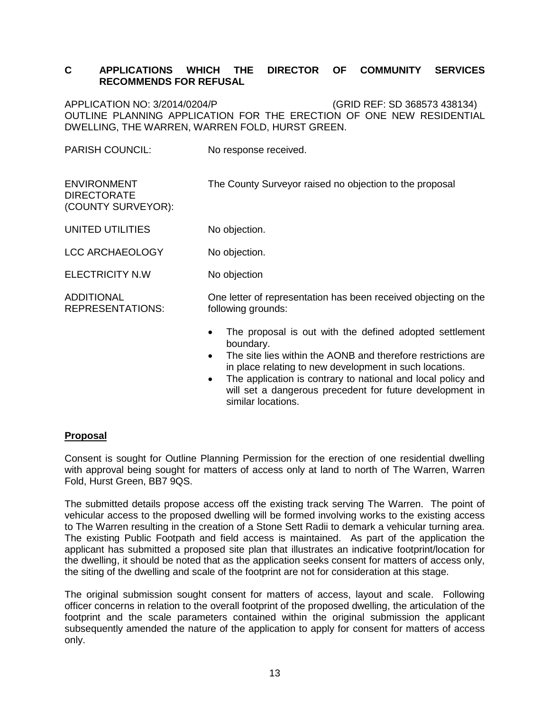## **C APPLICATIONS WHICH THE DIRECTOR OF COMMUNITY SERVICES RECOMMENDS FOR REFUSAL**

APPLICATION NO: 3/2014/0204/P (GRID REF: SD 368573 438134) OUTLINE PLANNING APPLICATION FOR THE ERECTION OF ONE NEW RESIDENTIAL DWELLING, THE WARREN, WARREN FOLD, HURST GREEN.

PARISH COUNCIL: No response received.

| <b>ENVIRONMENT</b><br><b>DIRECTORATE</b><br>(COUNTY SURVEYOR): | The County Surveyor raised no objection to the proposal                               |
|----------------------------------------------------------------|---------------------------------------------------------------------------------------|
| UNITED UTILITIES                                               | No objection.                                                                         |
| <b>LCC ARCHAEOLOGY</b>                                         | No objection.                                                                         |
| <b>ELECTRICITY N.W</b>                                         | No objection                                                                          |
| <b>ADDITIONAL</b><br><b>REPRESENTATIONS:</b>                   | One letter of representation has been received objecting on the<br>following grounds: |
|                                                                | The proposal is out with the defined adopted settlement<br>$\bullet$<br>boundary.     |

- The site lies within the AONB and therefore restrictions are in place relating to new development in such locations.
- The application is contrary to national and local policy and will set a dangerous precedent for future development in similar locations.

## **Proposal**

Consent is sought for Outline Planning Permission for the erection of one residential dwelling with approval being sought for matters of access only at land to north of The Warren, Warren Fold, Hurst Green, BB7 9QS.

The submitted details propose access off the existing track serving The Warren. The point of vehicular access to the proposed dwelling will be formed involving works to the existing access to The Warren resulting in the creation of a Stone Sett Radii to demark a vehicular turning area. The existing Public Footpath and field access is maintained. As part of the application the applicant has submitted a proposed site plan that illustrates an indicative footprint/location for the dwelling, it should be noted that as the application seeks consent for matters of access only, the siting of the dwelling and scale of the footprint are not for consideration at this stage.

The original submission sought consent for matters of access, layout and scale. Following officer concerns in relation to the overall footprint of the proposed dwelling, the articulation of the footprint and the scale parameters contained within the original submission the applicant subsequently amended the nature of the application to apply for consent for matters of access only.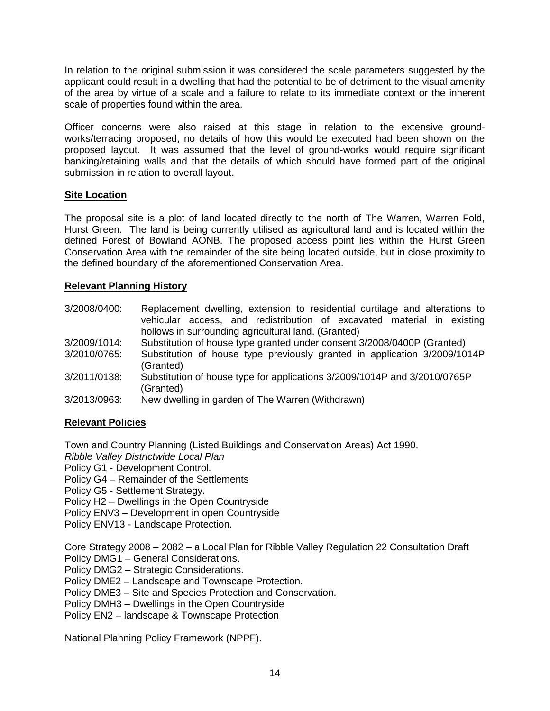In relation to the original submission it was considered the scale parameters suggested by the applicant could result in a dwelling that had the potential to be of detriment to the visual amenity of the area by virtue of a scale and a failure to relate to its immediate context or the inherent scale of properties found within the area.

Officer concerns were also raised at this stage in relation to the extensive groundworks/terracing proposed, no details of how this would be executed had been shown on the proposed layout. It was assumed that the level of ground-works would require significant banking/retaining walls and that the details of which should have formed part of the original submission in relation to overall layout.

## **Site Location**

The proposal site is a plot of land located directly to the north of The Warren, Warren Fold, Hurst Green. The land is being currently utilised as agricultural land and is located within the defined Forest of Bowland AONB. The proposed access point lies within the Hurst Green Conservation Area with the remainder of the site being located outside, but in close proximity to the defined boundary of the aforementioned Conservation Area.

## **Relevant Planning History**

- 3/2008/0400: Replacement dwelling, extension to residential curtilage and alterations to vehicular access, and redistribution of excavated material in existing hollows in surrounding agricultural land. (Granted)
- 3/2009/1014: Substitution of house type granted under consent 3/2008/0400P (Granted)
- 3/2010/0765: Substitution of house type previously granted in application 3/2009/1014P (Granted)
- 3/2011/0138: Substitution of house type for applications 3/2009/1014P and 3/2010/0765P (Granted)
- 3/2013/0963: New dwelling in garden of The Warren (Withdrawn)

#### **Relevant Policies**

Town and Country Planning (Listed Buildings and Conservation Areas) Act 1990.

*Ribble Valley Districtwide Local Plan* 

Policy G1 - Development Control.

Policy G4 – Remainder of the Settlements

Policy G5 - Settlement Strategy.

Policy H2 – Dwellings in the Open Countryside

Policy ENV3 – Development in open Countryside

Policy ENV13 - Landscape Protection.

Core Strategy 2008 – 2082 – a Local Plan for Ribble Valley Regulation 22 Consultation Draft Policy DMG1 – General Considerations.

Policy DMG2 – Strategic Considerations.

Policy DME2 – Landscape and Townscape Protection.

Policy DME3 – Site and Species Protection and Conservation.

Policy DMH3 – Dwellings in the Open Countryside

Policy EN2 – landscape & Townscape Protection

National Planning Policy Framework (NPPF).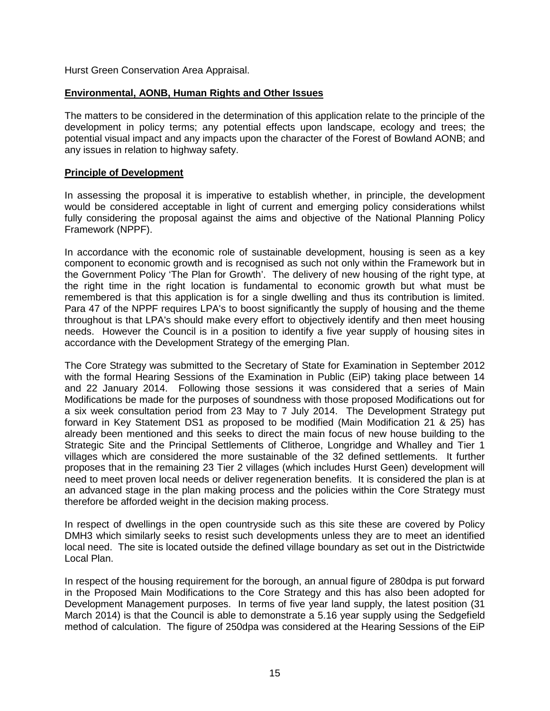Hurst Green Conservation Area Appraisal.

## **Environmental, AONB, Human Rights and Other Issues**

The matters to be considered in the determination of this application relate to the principle of the development in policy terms; any potential effects upon landscape, ecology and trees; the potential visual impact and any impacts upon the character of the Forest of Bowland AONB; and any issues in relation to highway safety.

#### **Principle of Development**

In assessing the proposal it is imperative to establish whether, in principle, the development would be considered acceptable in light of current and emerging policy considerations whilst fully considering the proposal against the aims and objective of the National Planning Policy Framework (NPPF).

In accordance with the economic role of sustainable development, housing is seen as a key component to economic growth and is recognised as such not only within the Framework but in the Government Policy 'The Plan for Growth'. The delivery of new housing of the right type, at the right time in the right location is fundamental to economic growth but what must be remembered is that this application is for a single dwelling and thus its contribution is limited. Para 47 of the NPPF requires LPA's to boost significantly the supply of housing and the theme throughout is that LPA's should make every effort to objectively identify and then meet housing needs. However the Council is in a position to identify a five year supply of housing sites in accordance with the Development Strategy of the emerging Plan.

The Core Strategy was submitted to the Secretary of State for Examination in September 2012 with the formal Hearing Sessions of the Examination in Public (EiP) taking place between 14 and 22 January 2014. Following those sessions it was considered that a series of Main Modifications be made for the purposes of soundness with those proposed Modifications out for a six week consultation period from 23 May to 7 July 2014. The Development Strategy put forward in Key Statement DS1 as proposed to be modified (Main Modification 21 & 25) has already been mentioned and this seeks to direct the main focus of new house building to the Strategic Site and the Principal Settlements of Clitheroe, Longridge and Whalley and Tier 1 villages which are considered the more sustainable of the 32 defined settlements. It further proposes that in the remaining 23 Tier 2 villages (which includes Hurst Geen) development will need to meet proven local needs or deliver regeneration benefits. It is considered the plan is at an advanced stage in the plan making process and the policies within the Core Strategy must therefore be afforded weight in the decision making process.

In respect of dwellings in the open countryside such as this site these are covered by Policy DMH3 which similarly seeks to resist such developments unless they are to meet an identified local need. The site is located outside the defined village boundary as set out in the Districtwide Local Plan.

In respect of the housing requirement for the borough, an annual figure of 280dpa is put forward in the Proposed Main Modifications to the Core Strategy and this has also been adopted for Development Management purposes. In terms of five year land supply, the latest position (31 March 2014) is that the Council is able to demonstrate a 5.16 year supply using the Sedgefield method of calculation. The figure of 250dpa was considered at the Hearing Sessions of the EiP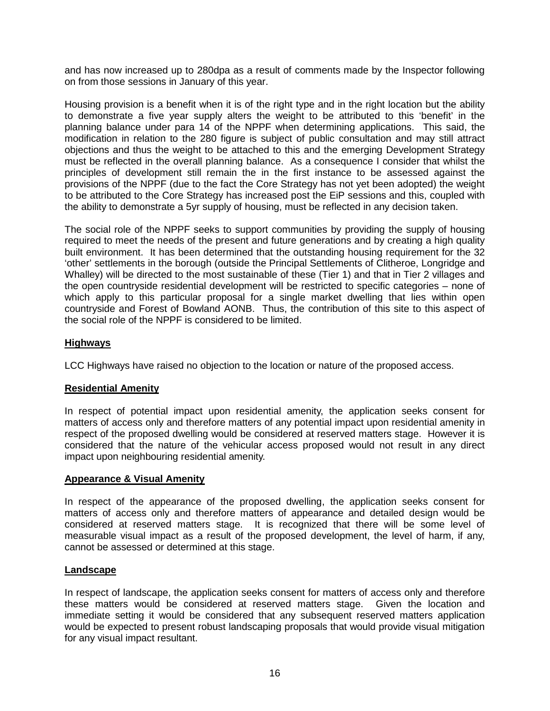and has now increased up to 280dpa as a result of comments made by the Inspector following on from those sessions in January of this year.

Housing provision is a benefit when it is of the right type and in the right location but the ability to demonstrate a five year supply alters the weight to be attributed to this 'benefit' in the planning balance under para 14 of the NPPF when determining applications. This said, the modification in relation to the 280 figure is subject of public consultation and may still attract objections and thus the weight to be attached to this and the emerging Development Strategy must be reflected in the overall planning balance. As a consequence I consider that whilst the principles of development still remain the in the first instance to be assessed against the provisions of the NPPF (due to the fact the Core Strategy has not yet been adopted) the weight to be attributed to the Core Strategy has increased post the EiP sessions and this, coupled with the ability to demonstrate a 5yr supply of housing, must be reflected in any decision taken.

The social role of the NPPF seeks to support communities by providing the supply of housing required to meet the needs of the present and future generations and by creating a high quality built environment. It has been determined that the outstanding housing requirement for the 32 'other' settlements in the borough (outside the Principal Settlements of Clitheroe, Longridge and Whalley) will be directed to the most sustainable of these (Tier 1) and that in Tier 2 villages and the open countryside residential development will be restricted to specific categories – none of which apply to this particular proposal for a single market dwelling that lies within open countryside and Forest of Bowland AONB. Thus, the contribution of this site to this aspect of the social role of the NPPF is considered to be limited.

# **Highways**

LCC Highways have raised no objection to the location or nature of the proposed access.

## **Residential Amenity**

In respect of potential impact upon residential amenity, the application seeks consent for matters of access only and therefore matters of any potential impact upon residential amenity in respect of the proposed dwelling would be considered at reserved matters stage. However it is considered that the nature of the vehicular access proposed would not result in any direct impact upon neighbouring residential amenity.

#### **Appearance & Visual Amenity**

In respect of the appearance of the proposed dwelling, the application seeks consent for matters of access only and therefore matters of appearance and detailed design would be considered at reserved matters stage. It is recognized that there will be some level of measurable visual impact as a result of the proposed development, the level of harm, if any, cannot be assessed or determined at this stage.

#### **Landscape**

In respect of landscape, the application seeks consent for matters of access only and therefore these matters would be considered at reserved matters stage. Given the location and immediate setting it would be considered that any subsequent reserved matters application would be expected to present robust landscaping proposals that would provide visual mitigation for any visual impact resultant.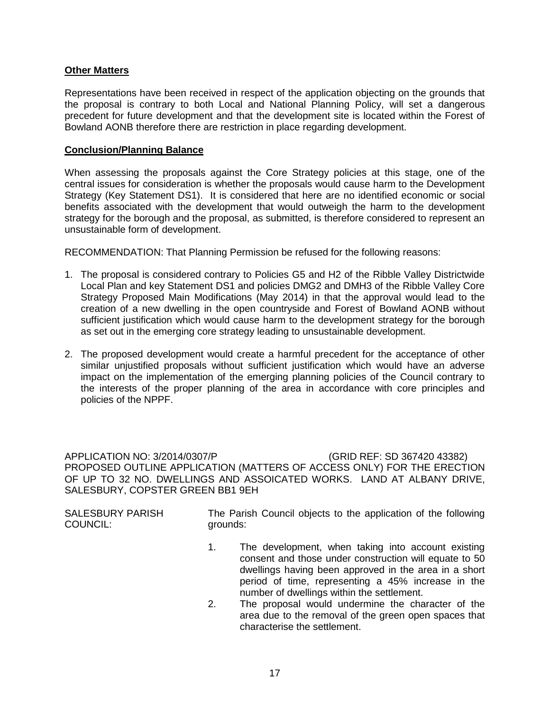## **Other Matters**

Representations have been received in respect of the application objecting on the grounds that the proposal is contrary to both Local and National Planning Policy, will set a dangerous precedent for future development and that the development site is located within the Forest of Bowland AONB therefore there are restriction in place regarding development.

#### **Conclusion/Planning Balance**

When assessing the proposals against the Core Strategy policies at this stage, one of the central issues for consideration is whether the proposals would cause harm to the Development Strategy (Key Statement DS1). It is considered that here are no identified economic or social benefits associated with the development that would outweigh the harm to the development strategy for the borough and the proposal, as submitted, is therefore considered to represent an unsustainable form of development.

RECOMMENDATION: That Planning Permission be refused for the following reasons:

- 1. The proposal is considered contrary to Policies G5 and H2 of the Ribble Valley Districtwide Local Plan and key Statement DS1 and policies DMG2 and DMH3 of the Ribble Valley Core Strategy Proposed Main Modifications (May 2014) in that the approval would lead to the creation of a new dwelling in the open countryside and Forest of Bowland AONB without sufficient justification which would cause harm to the development strategy for the borough as set out in the emerging core strategy leading to unsustainable development.
- 2. The proposed development would create a harmful precedent for the acceptance of other similar unjustified proposals without sufficient justification which would have an adverse impact on the implementation of the emerging planning policies of the Council contrary to the interests of the proper planning of the area in accordance with core principles and policies of the NPPF.

APPLICATION NO: 3/2014/0307/P (GRID REF: SD 367420 43382) PROPOSED OUTLINE APPLICATION (MATTERS OF ACCESS ONLY) FOR THE ERECTION OF UP TO 32 NO. DWELLINGS AND ASSOICATED WORKS. LAND AT ALBANY DRIVE, SALESBURY, COPSTER GREEN BB1 9EH

SALESBURY PARISH COUNCIL:

The Parish Council objects to the application of the following grounds:

- 1. The development, when taking into account existing consent and those under construction will equate to 50 dwellings having been approved in the area in a short period of time, representing a 45% increase in the number of dwellings within the settlement.
- 2. The proposal would undermine the character of the area due to the removal of the green open spaces that characterise the settlement.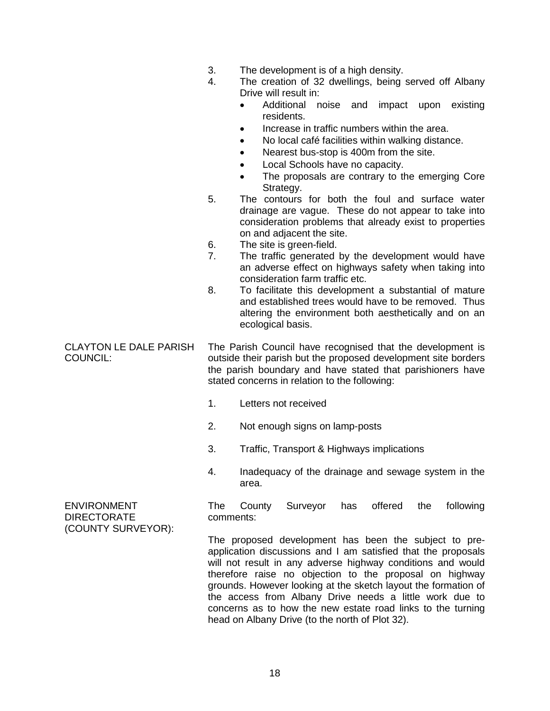|                                                  | 3.<br>4.<br>5.<br>6.<br>7.<br>8. | The development is of a high density.<br>The creation of 32 dwellings, being served off Albany<br>Drive will result in:<br>Additional<br>noise<br>and<br>impact upon<br>existing<br>$\bullet$<br>residents.<br>Increase in traffic numbers within the area.<br>٠<br>No local café facilities within walking distance.<br>$\bullet$<br>Nearest bus-stop is 400m from the site.<br>Local Schools have no capacity.<br>The proposals are contrary to the emerging Core<br>Strategy.<br>The contours for both the foul and surface water<br>drainage are vague. These do not appear to take into<br>consideration problems that already exist to properties<br>on and adjacent the site.<br>The site is green-field.<br>The traffic generated by the development would have<br>an adverse effect on highways safety when taking into<br>consideration farm traffic etc.<br>To facilitate this development a substantial of mature<br>and established trees would have to be removed. Thus<br>altering the environment both aesthetically and on an<br>ecological basis. |
|--------------------------------------------------|----------------------------------|---------------------------------------------------------------------------------------------------------------------------------------------------------------------------------------------------------------------------------------------------------------------------------------------------------------------------------------------------------------------------------------------------------------------------------------------------------------------------------------------------------------------------------------------------------------------------------------------------------------------------------------------------------------------------------------------------------------------------------------------------------------------------------------------------------------------------------------------------------------------------------------------------------------------------------------------------------------------------------------------------------------------------------------------------------------------|
| <b>CLAYTON LE DALE PARISH</b><br><b>COUNCIL:</b> |                                  | The Parish Council have recognised that the development is<br>outside their parish but the proposed development site borders<br>the parish boundary and have stated that parishioners have<br>stated concerns in relation to the following:                                                                                                                                                                                                                                                                                                                                                                                                                                                                                                                                                                                                                                                                                                                                                                                                                         |
|                                                  | 1.                               | Letters not received                                                                                                                                                                                                                                                                                                                                                                                                                                                                                                                                                                                                                                                                                                                                                                                                                                                                                                                                                                                                                                                |
|                                                  | 2.                               | Not enough signs on lamp-posts                                                                                                                                                                                                                                                                                                                                                                                                                                                                                                                                                                                                                                                                                                                                                                                                                                                                                                                                                                                                                                      |
|                                                  | 3.                               | Traffic, Transport & Highways implications                                                                                                                                                                                                                                                                                                                                                                                                                                                                                                                                                                                                                                                                                                                                                                                                                                                                                                                                                                                                                          |
|                                                  | 4.                               | Inadequacy of the drainage and sewage system in the<br>area.                                                                                                                                                                                                                                                                                                                                                                                                                                                                                                                                                                                                                                                                                                                                                                                                                                                                                                                                                                                                        |
| <b>ENVIRONMENT</b><br><b>DIRECTORATE</b>         | The<br>comments:                 | Surveyor<br>offered<br>following<br>County<br>has<br>the                                                                                                                                                                                                                                                                                                                                                                                                                                                                                                                                                                                                                                                                                                                                                                                                                                                                                                                                                                                                            |
| (COUNTY SURVEYOR):                               |                                  | The proposed development has been the subject to pre-<br>application discussions and I am satisfied that the proposals<br>will not result in any adverse highway conditions and would<br>therefore raise no objection to the proposal on highway<br>grounds. However looking at the sketch layout the formation of                                                                                                                                                                                                                                                                                                                                                                                                                                                                                                                                                                                                                                                                                                                                                  |

18

the access from Albany Drive needs a little work due to concerns as to how the new estate road links to the turning

head on Albany Drive (to the north of Plot 32).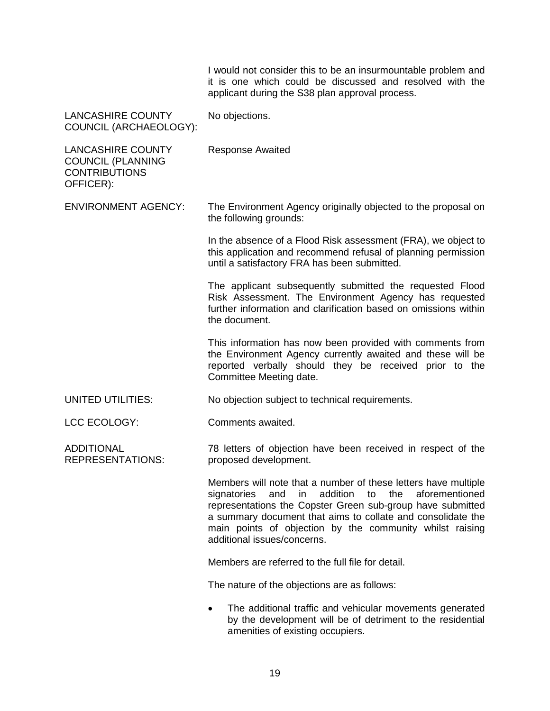|                                                                                           | I would not consider this to be an insurmountable problem and<br>it is one which could be discussed and resolved with the<br>applicant during the S38 plan approval process.                                                                                                                                                                                  |
|-------------------------------------------------------------------------------------------|---------------------------------------------------------------------------------------------------------------------------------------------------------------------------------------------------------------------------------------------------------------------------------------------------------------------------------------------------------------|
| <b>LANCASHIRE COUNTY</b><br>COUNCIL (ARCHAEOLOGY):                                        | No objections.                                                                                                                                                                                                                                                                                                                                                |
| <b>LANCASHIRE COUNTY</b><br><b>COUNCIL (PLANNING</b><br><b>CONTRIBUTIONS</b><br>OFFICER): | <b>Response Awaited</b>                                                                                                                                                                                                                                                                                                                                       |
| <b>ENVIRONMENT AGENCY:</b>                                                                | The Environment Agency originally objected to the proposal on<br>the following grounds:                                                                                                                                                                                                                                                                       |
|                                                                                           | In the absence of a Flood Risk assessment (FRA), we object to<br>this application and recommend refusal of planning permission<br>until a satisfactory FRA has been submitted.                                                                                                                                                                                |
|                                                                                           | The applicant subsequently submitted the requested Flood<br>Risk Assessment. The Environment Agency has requested<br>further information and clarification based on omissions within<br>the document.                                                                                                                                                         |
|                                                                                           | This information has now been provided with comments from<br>the Environment Agency currently awaited and these will be<br>reported verbally should they be received prior to the<br>Committee Meeting date.                                                                                                                                                  |
| UNITED UTILITIES:                                                                         | No objection subject to technical requirements.                                                                                                                                                                                                                                                                                                               |
| LCC ECOLOGY:                                                                              | Comments awaited.                                                                                                                                                                                                                                                                                                                                             |
| <b>ADDITIONAL</b><br><b>REPRESENTATIONS:</b>                                              | 78 letters of objection have been received in respect of the<br>proposed development.                                                                                                                                                                                                                                                                         |
|                                                                                           | Members will note that a number of these letters have multiple<br>aforementioned<br>in<br>addition<br>to<br>the<br>signatories<br>and<br>representations the Copster Green sub-group have submitted<br>a summary document that aims to collate and consolidate the<br>main points of objection by the community whilst raising<br>additional issues/concerns. |
|                                                                                           | Members are referred to the full file for detail.                                                                                                                                                                                                                                                                                                             |
|                                                                                           | The nature of the objections are as follows:                                                                                                                                                                                                                                                                                                                  |
|                                                                                           | The additional traffic and vehicular movements generated<br>by the development will be of detriment to the residential<br>amenities of existing occupiers.                                                                                                                                                                                                    |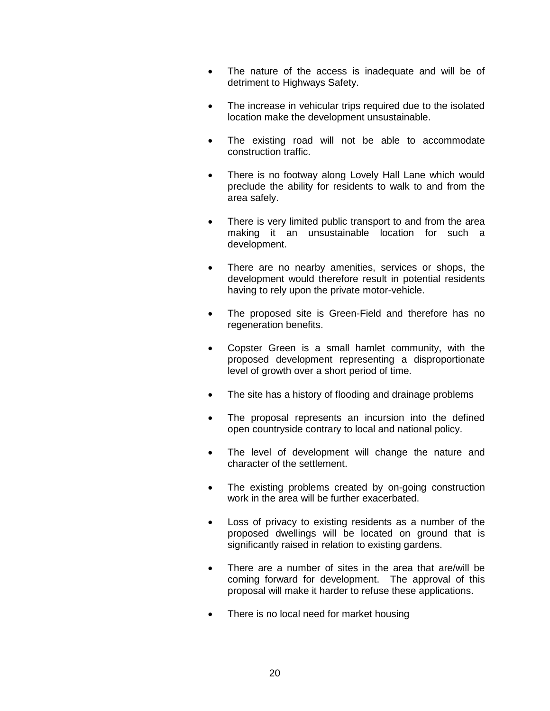- The nature of the access is inadequate and will be of detriment to Highways Safety.
- The increase in vehicular trips required due to the isolated location make the development unsustainable.
- The existing road will not be able to accommodate construction traffic.
- There is no footway along Lovely Hall Lane which would preclude the ability for residents to walk to and from the area safely.
- There is very limited public transport to and from the area making it an unsustainable location for such a development.
- There are no nearby amenities, services or shops, the development would therefore result in potential residents having to rely upon the private motor-vehicle.
- The proposed site is Green-Field and therefore has no regeneration benefits.
- Copster Green is a small hamlet community, with the proposed development representing a disproportionate level of growth over a short period of time.
- The site has a history of flooding and drainage problems
- The proposal represents an incursion into the defined open countryside contrary to local and national policy.
- The level of development will change the nature and character of the settlement.
- The existing problems created by on-going construction work in the area will be further exacerbated.
- Loss of privacy to existing residents as a number of the proposed dwellings will be located on ground that is significantly raised in relation to existing gardens.
- There are a number of sites in the area that are/will be coming forward for development. The approval of this proposal will make it harder to refuse these applications.
- There is no local need for market housing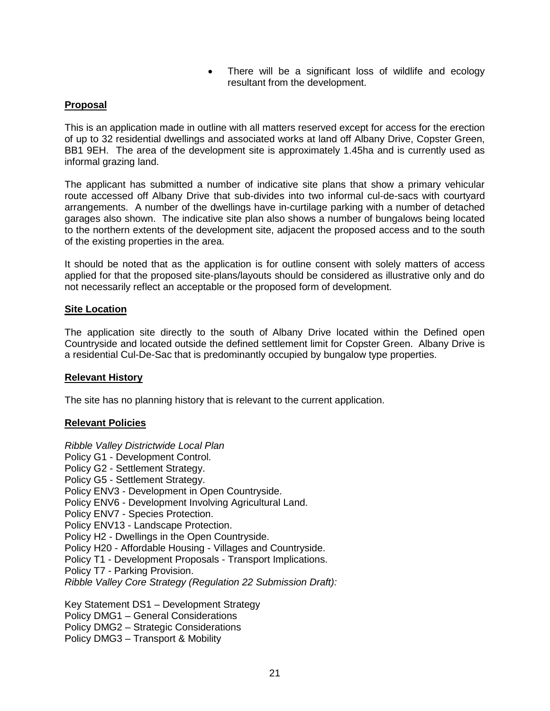• There will be a significant loss of wildlife and ecology resultant from the development.

## **Proposal**

This is an application made in outline with all matters reserved except for access for the erection of up to 32 residential dwellings and associated works at land off Albany Drive, Copster Green, BB1 9EH. The area of the development site is approximately 1.45ha and is currently used as informal grazing land.

The applicant has submitted a number of indicative site plans that show a primary vehicular route accessed off Albany Drive that sub-divides into two informal cul-de-sacs with courtyard arrangements. A number of the dwellings have in-curtilage parking with a number of detached garages also shown. The indicative site plan also shows a number of bungalows being located to the northern extents of the development site, adjacent the proposed access and to the south of the existing properties in the area.

It should be noted that as the application is for outline consent with solely matters of access applied for that the proposed site-plans/layouts should be considered as illustrative only and do not necessarily reflect an acceptable or the proposed form of development.

#### **Site Location**

The application site directly to the south of Albany Drive located within the Defined open Countryside and located outside the defined settlement limit for Copster Green. Albany Drive is a residential Cul-De-Sac that is predominantly occupied by bungalow type properties.

#### **Relevant History**

The site has no planning history that is relevant to the current application.

#### **Relevant Policies**

*Ribble Valley Districtwide Local Plan* Policy G1 - Development Control. Policy G2 - Settlement Strategy. Policy G5 - Settlement Strategy. Policy ENV3 - Development in Open Countryside. Policy ENV6 - Development Involving Agricultural Land. Policy ENV7 - Species Protection. Policy ENV13 - Landscape Protection. Policy H2 - Dwellings in the Open Countryside. Policy H20 - Affordable Housing - Villages and Countryside. Policy T1 - Development Proposals - Transport Implications. Policy T7 - Parking Provision. *Ribble Valley Core Strategy (Regulation 22 Submission Draft):* Key Statement DS1 – Development Strategy

Policy DMG1 – General Considerations Policy DMG2 – Strategic Considerations Policy DMG3 – Transport & Mobility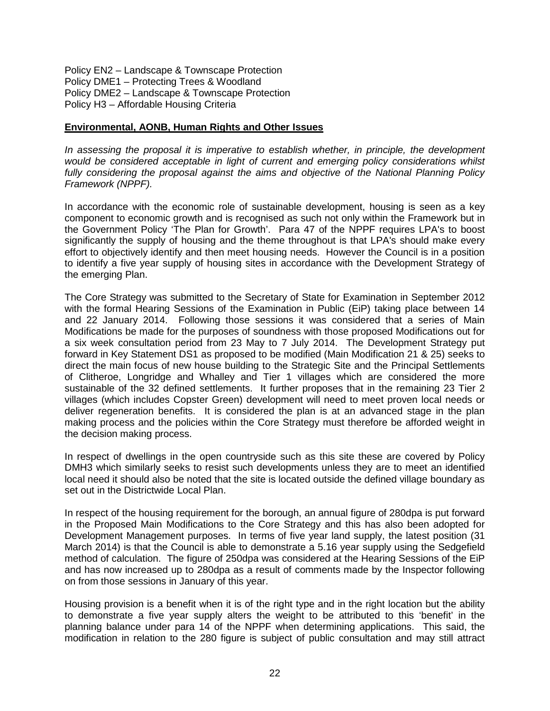Policy EN2 – Landscape & Townscape Protection Policy DME1 – Protecting Trees & Woodland Policy DME2 – Landscape & Townscape Protection Policy H3 – Affordable Housing Criteria

#### **Environmental, AONB, Human Rights and Other Issues**

*In assessing the proposal it is imperative to establish whether, in principle, the development would be considered acceptable in light of current and emerging policy considerations whilst fully considering the proposal against the aims and objective of the National Planning Policy Framework (NPPF).* 

In accordance with the economic role of sustainable development, housing is seen as a key component to economic growth and is recognised as such not only within the Framework but in the Government Policy 'The Plan for Growth'. Para 47 of the NPPF requires LPA's to boost significantly the supply of housing and the theme throughout is that LPA's should make every effort to objectively identify and then meet housing needs. However the Council is in a position to identify a five year supply of housing sites in accordance with the Development Strategy of the emerging Plan.

The Core Strategy was submitted to the Secretary of State for Examination in September 2012 with the formal Hearing Sessions of the Examination in Public (EiP) taking place between 14 and 22 January 2014. Following those sessions it was considered that a series of Main Modifications be made for the purposes of soundness with those proposed Modifications out for a six week consultation period from 23 May to 7 July 2014. The Development Strategy put forward in Key Statement DS1 as proposed to be modified (Main Modification 21 & 25) seeks to direct the main focus of new house building to the Strategic Site and the Principal Settlements of Clitheroe, Longridge and Whalley and Tier 1 villages which are considered the more sustainable of the 32 defined settlements. It further proposes that in the remaining 23 Tier 2 villages (which includes Copster Green) development will need to meet proven local needs or deliver regeneration benefits. It is considered the plan is at an advanced stage in the plan making process and the policies within the Core Strategy must therefore be afforded weight in the decision making process.

In respect of dwellings in the open countryside such as this site these are covered by Policy DMH3 which similarly seeks to resist such developments unless they are to meet an identified local need it should also be noted that the site is located outside the defined village boundary as set out in the Districtwide Local Plan.

In respect of the housing requirement for the borough, an annual figure of 280dpa is put forward in the Proposed Main Modifications to the Core Strategy and this has also been adopted for Development Management purposes. In terms of five year land supply, the latest position (31 March 2014) is that the Council is able to demonstrate a 5.16 year supply using the Sedgefield method of calculation. The figure of 250dpa was considered at the Hearing Sessions of the EiP and has now increased up to 280dpa as a result of comments made by the Inspector following on from those sessions in January of this year.

Housing provision is a benefit when it is of the right type and in the right location but the ability to demonstrate a five year supply alters the weight to be attributed to this 'benefit' in the planning balance under para 14 of the NPPF when determining applications. This said, the modification in relation to the 280 figure is subject of public consultation and may still attract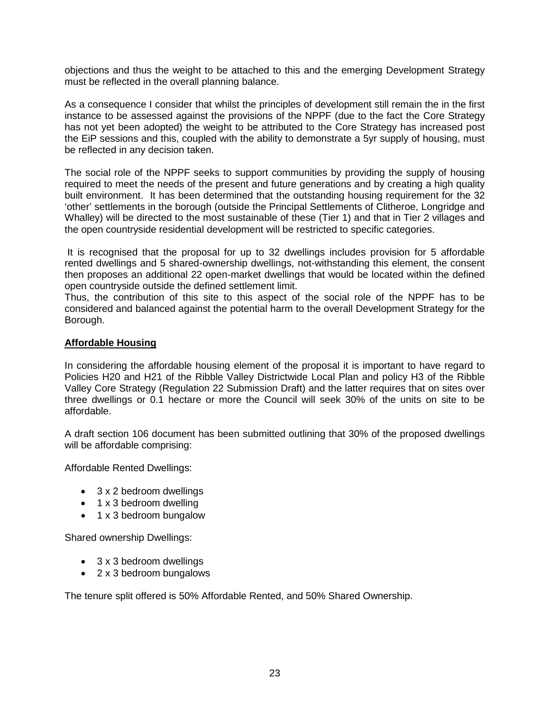objections and thus the weight to be attached to this and the emerging Development Strategy must be reflected in the overall planning balance.

As a consequence I consider that whilst the principles of development still remain the in the first instance to be assessed against the provisions of the NPPF (due to the fact the Core Strategy has not yet been adopted) the weight to be attributed to the Core Strategy has increased post the EiP sessions and this, coupled with the ability to demonstrate a 5yr supply of housing, must be reflected in any decision taken.

The social role of the NPPF seeks to support communities by providing the supply of housing required to meet the needs of the present and future generations and by creating a high quality built environment. It has been determined that the outstanding housing requirement for the 32 'other' settlements in the borough (outside the Principal Settlements of Clitheroe, Longridge and Whalley) will be directed to the most sustainable of these (Tier 1) and that in Tier 2 villages and the open countryside residential development will be restricted to specific categories.

It is recognised that the proposal for up to 32 dwellings includes provision for 5 affordable rented dwellings and 5 shared-ownership dwellings, not-withstanding this element, the consent then proposes an additional 22 open-market dwellings that would be located within the defined open countryside outside the defined settlement limit.

Thus, the contribution of this site to this aspect of the social role of the NPPF has to be considered and balanced against the potential harm to the overall Development Strategy for the Borough.

## **Affordable Housing**

In considering the affordable housing element of the proposal it is important to have regard to Policies H20 and H21 of the Ribble Valley Districtwide Local Plan and policy H3 of the Ribble Valley Core Strategy (Regulation 22 Submission Draft) and the latter requires that on sites over three dwellings or 0.1 hectare or more the Council will seek 30% of the units on site to be affordable.

A draft section 106 document has been submitted outlining that 30% of the proposed dwellings will be affordable comprising:

Affordable Rented Dwellings:

- 3 x 2 bedroom dwellings
- $\bullet$  1 x 3 bedroom dwelling
- 1 x 3 bedroom bungalow

Shared ownership Dwellings:

- 3 x 3 bedroom dwellings
- 2 x 3 bedroom bungalows

The tenure split offered is 50% Affordable Rented, and 50% Shared Ownership.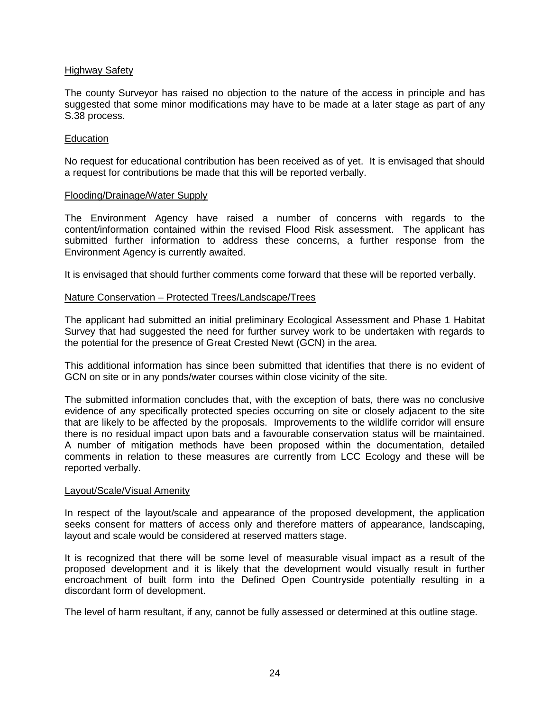## Highway Safety

The county Surveyor has raised no objection to the nature of the access in principle and has suggested that some minor modifications may have to be made at a later stage as part of any S.38 process.

#### Education

No request for educational contribution has been received as of yet. It is envisaged that should a request for contributions be made that this will be reported verbally.

#### Flooding/Drainage/Water Supply

The Environment Agency have raised a number of concerns with regards to the content/information contained within the revised Flood Risk assessment. The applicant has submitted further information to address these concerns, a further response from the Environment Agency is currently awaited.

It is envisaged that should further comments come forward that these will be reported verbally.

#### Nature Conservation – Protected Trees/Landscape/Trees

The applicant had submitted an initial preliminary Ecological Assessment and Phase 1 Habitat Survey that had suggested the need for further survey work to be undertaken with regards to the potential for the presence of Great Crested Newt (GCN) in the area.

This additional information has since been submitted that identifies that there is no evident of GCN on site or in any ponds/water courses within close vicinity of the site.

The submitted information concludes that, with the exception of bats, there was no conclusive evidence of any specifically protected species occurring on site or closely adjacent to the site that are likely to be affected by the proposals. Improvements to the wildlife corridor will ensure there is no residual impact upon bats and a favourable conservation status will be maintained. A number of mitigation methods have been proposed within the documentation, detailed comments in relation to these measures are currently from LCC Ecology and these will be reported verbally.

#### Layout/Scale/Visual Amenity

In respect of the layout/scale and appearance of the proposed development, the application seeks consent for matters of access only and therefore matters of appearance, landscaping, layout and scale would be considered at reserved matters stage.

It is recognized that there will be some level of measurable visual impact as a result of the proposed development and it is likely that the development would visually result in further encroachment of built form into the Defined Open Countryside potentially resulting in a discordant form of development.

The level of harm resultant, if any, cannot be fully assessed or determined at this outline stage.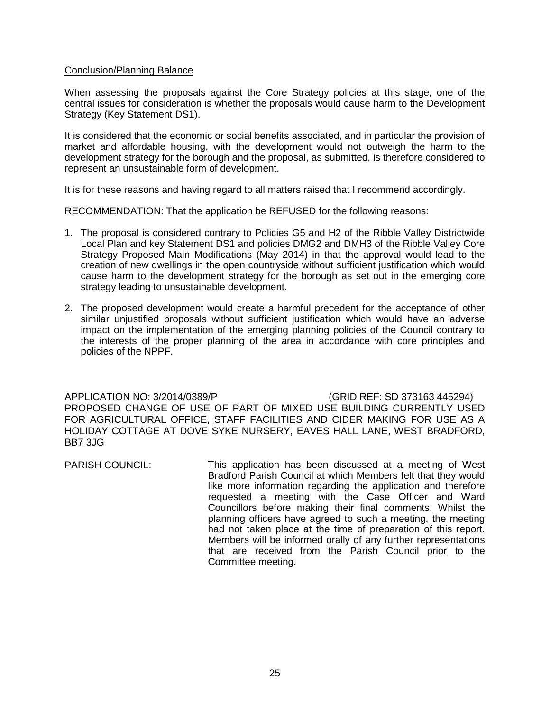#### Conclusion/Planning Balance

When assessing the proposals against the Core Strategy policies at this stage, one of the central issues for consideration is whether the proposals would cause harm to the Development Strategy (Key Statement DS1).

It is considered that the economic or social benefits associated, and in particular the provision of market and affordable housing, with the development would not outweigh the harm to the development strategy for the borough and the proposal, as submitted, is therefore considered to represent an unsustainable form of development.

It is for these reasons and having regard to all matters raised that I recommend accordingly.

RECOMMENDATION: That the application be REFUSED for the following reasons:

- 1. The proposal is considered contrary to Policies G5 and H2 of the Ribble Valley Districtwide Local Plan and key Statement DS1 and policies DMG2 and DMH3 of the Ribble Valley Core Strategy Proposed Main Modifications (May 2014) in that the approval would lead to the creation of new dwellings in the open countryside without sufficient justification which would cause harm to the development strategy for the borough as set out in the emerging core strategy leading to unsustainable development.
- 2. The proposed development would create a harmful precedent for the acceptance of other similar unjustified proposals without sufficient justification which would have an adverse impact on the implementation of the emerging planning policies of the Council contrary to the interests of the proper planning of the area in accordance with core principles and policies of the NPPF.

APPLICATION NO: 3/2014/0389/P (GRID REF: SD 373163 445294) PROPOSED CHANGE OF USE OF PART OF MIXED USE BUILDING CURRENTLY USED FOR AGRICULTURAL OFFICE, STAFF FACILITIES AND CIDER MAKING FOR USE AS A HOLIDAY COTTAGE AT DOVE SYKE NURSERY, EAVES HALL LANE, WEST BRADFORD, BB7 3JG

PARISH COUNCIL: This application has been discussed at a meeting of West Bradford Parish Council at which Members felt that they would like more information regarding the application and therefore requested a meeting with the Case Officer and Ward Councillors before making their final comments. Whilst the planning officers have agreed to such a meeting, the meeting had not taken place at the time of preparation of this report. Members will be informed orally of any further representations that are received from the Parish Council prior to the Committee meeting.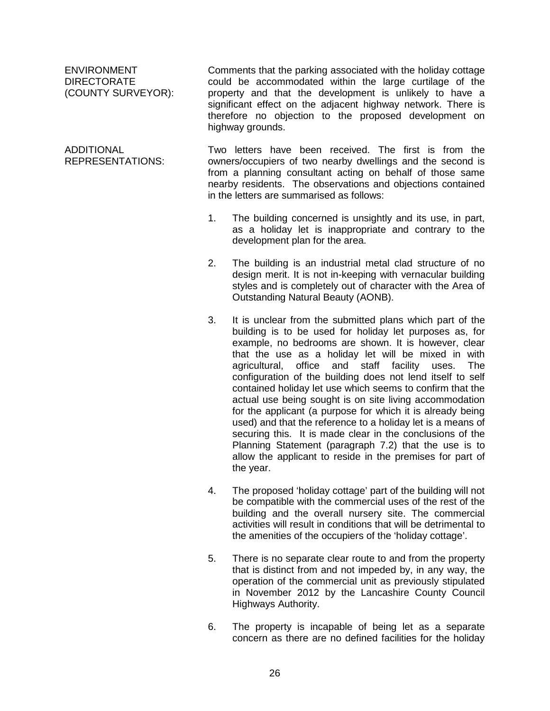ENVIRONMENT DIRECTORATE (COUNTY SURVEYOR):

ADDITIONAL REPRESENTATIONS:

Comments that the parking associated with the holiday cottage could be accommodated within the large curtilage of the property and that the development is unlikely to have a significant effect on the adjacent highway network. There is therefore no objection to the proposed development on highway grounds.

Two letters have been received. The first is from the owners/occupiers of two nearby dwellings and the second is from a planning consultant acting on behalf of those same nearby residents. The observations and objections contained in the letters are summarised as follows:

- 1. The building concerned is unsightly and its use, in part, as a holiday let is inappropriate and contrary to the development plan for the area.
- 2. The building is an industrial metal clad structure of no design merit. It is not in-keeping with vernacular building styles and is completely out of character with the Area of Outstanding Natural Beauty (AONB).
- 3. It is unclear from the submitted plans which part of the building is to be used for holiday let purposes as, for example, no bedrooms are shown. It is however, clear that the use as a holiday let will be mixed in with agricultural, office and staff facility uses. The configuration of the building does not lend itself to self contained holiday let use which seems to confirm that the actual use being sought is on site living accommodation for the applicant (a purpose for which it is already being used) and that the reference to a holiday let is a means of securing this. It is made clear in the conclusions of the Planning Statement (paragraph 7.2) that the use is to allow the applicant to reside in the premises for part of the year.
- 4. The proposed 'holiday cottage' part of the building will not be compatible with the commercial uses of the rest of the building and the overall nursery site. The commercial activities will result in conditions that will be detrimental to the amenities of the occupiers of the 'holiday cottage'.
- 5. There is no separate clear route to and from the property that is distinct from and not impeded by, in any way, the operation of the commercial unit as previously stipulated in November 2012 by the Lancashire County Council Highways Authority.
- 6. The property is incapable of being let as a separate concern as there are no defined facilities for the holiday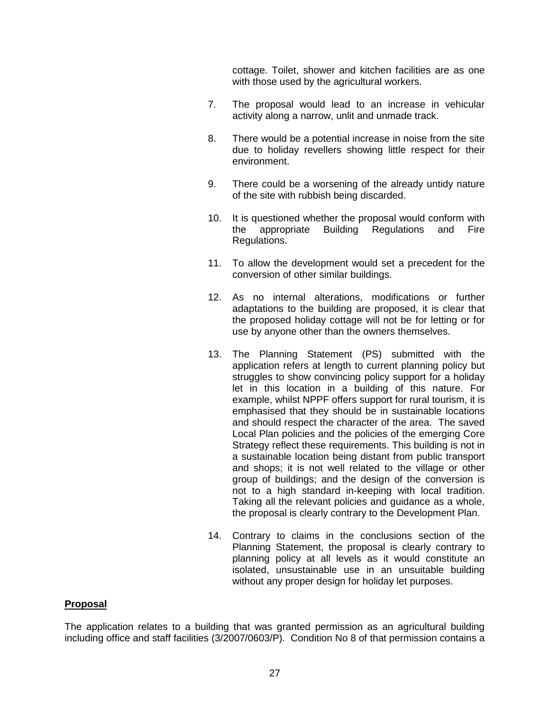cottage. Toilet, shower and kitchen facilities are as one with those used by the agricultural workers.

- 7. The proposal would lead to an increase in vehicular activity along a narrow, unlit and unmade track.
- 8. There would be a potential increase in noise from the site due to holiday revellers showing little respect for their environment.
- 9. There could be a worsening of the already untidy nature of the site with rubbish being discarded.
- 10. It is questioned whether the proposal would conform with the appropriate Building Regulations and Fire Regulations.
- 11. To allow the development would set a precedent for the conversion of other similar buildings.
- 12. As no internal alterations, modifications or further adaptations to the building are proposed, it is clear that the proposed holiday cottage will not be for letting or for use by anyone other than the owners themselves.
- 13. The Planning Statement (PS) submitted with the application refers at length to current planning policy but struggles to show convincing policy support for a holiday let in this location in a building of this nature. For example, whilst NPPF offers support for rural tourism, it is emphasised that they should be in sustainable locations and should respect the character of the area. The saved Local Plan policies and the policies of the emerging Core Strategy reflect these requirements. This building is not in a sustainable location being distant from public transport and shops; it is not well related to the village or other group of buildings; and the design of the conversion is not to a high standard in-keeping with local tradition. Taking all the relevant policies and guidance as a whole, the proposal is clearly contrary to the Development Plan.
- 14. Contrary to claims in the conclusions section of the Planning Statement, the proposal is clearly contrary to planning policy at all levels as it would constitute an isolated, unsustainable use in an unsuitable building without any proper design for holiday let purposes.

#### **Proposal**

The application relates to a building that was granted permission as an agricultural building including office and staff facilities (3/2007/0603/P). Condition No 8 of that permission contains a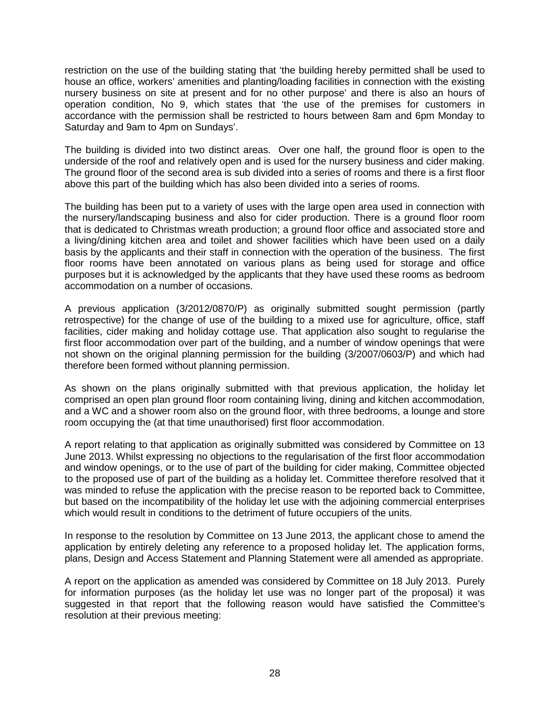restriction on the use of the building stating that 'the building hereby permitted shall be used to house an office, workers' amenities and planting/loading facilities in connection with the existing nursery business on site at present and for no other purpose' and there is also an hours of operation condition, No 9, which states that 'the use of the premises for customers in accordance with the permission shall be restricted to hours between 8am and 6pm Monday to Saturday and 9am to 4pm on Sundays'.

The building is divided into two distinct areas. Over one half, the ground floor is open to the underside of the roof and relatively open and is used for the nursery business and cider making. The ground floor of the second area is sub divided into a series of rooms and there is a first floor above this part of the building which has also been divided into a series of rooms.

The building has been put to a variety of uses with the large open area used in connection with the nursery/landscaping business and also for cider production. There is a ground floor room that is dedicated to Christmas wreath production; a ground floor office and associated store and a living/dining kitchen area and toilet and shower facilities which have been used on a daily basis by the applicants and their staff in connection with the operation of the business. The first floor rooms have been annotated on various plans as being used for storage and office purposes but it is acknowledged by the applicants that they have used these rooms as bedroom accommodation on a number of occasions.

A previous application (3/2012/0870/P) as originally submitted sought permission (partly retrospective) for the change of use of the building to a mixed use for agriculture, office, staff facilities, cider making and holiday cottage use. That application also sought to regularise the first floor accommodation over part of the building, and a number of window openings that were not shown on the original planning permission for the building (3/2007/0603/P) and which had therefore been formed without planning permission.

As shown on the plans originally submitted with that previous application, the holiday let comprised an open plan ground floor room containing living, dining and kitchen accommodation, and a WC and a shower room also on the ground floor, with three bedrooms, a lounge and store room occupying the (at that time unauthorised) first floor accommodation.

A report relating to that application as originally submitted was considered by Committee on 13 June 2013. Whilst expressing no objections to the regularisation of the first floor accommodation and window openings, or to the use of part of the building for cider making, Committee objected to the proposed use of part of the building as a holiday let. Committee therefore resolved that it was minded to refuse the application with the precise reason to be reported back to Committee, but based on the incompatibility of the holiday let use with the adjoining commercial enterprises which would result in conditions to the detriment of future occupiers of the units.

In response to the resolution by Committee on 13 June 2013, the applicant chose to amend the application by entirely deleting any reference to a proposed holiday let. The application forms, plans, Design and Access Statement and Planning Statement were all amended as appropriate.

A report on the application as amended was considered by Committee on 18 July 2013. Purely for information purposes (as the holiday let use was no longer part of the proposal) it was suggested in that report that the following reason would have satisfied the Committee's resolution at their previous meeting: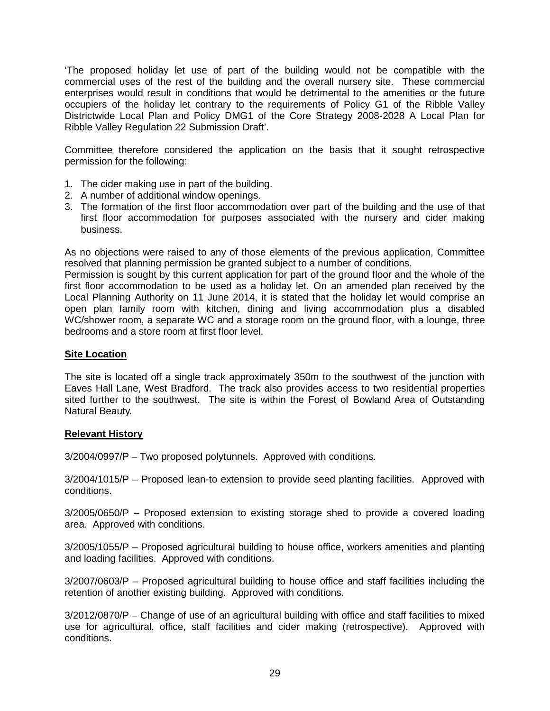'The proposed holiday let use of part of the building would not be compatible with the commercial uses of the rest of the building and the overall nursery site. These commercial enterprises would result in conditions that would be detrimental to the amenities or the future occupiers of the holiday let contrary to the requirements of Policy G1 of the Ribble Valley Districtwide Local Plan and Policy DMG1 of the Core Strategy 2008-2028 A Local Plan for Ribble Valley Regulation 22 Submission Draft'.

Committee therefore considered the application on the basis that it sought retrospective permission for the following:

- 1. The cider making use in part of the building.
- 2. A number of additional window openings.
- 3. The formation of the first floor accommodation over part of the building and the use of that first floor accommodation for purposes associated with the nursery and cider making business.

As no objections were raised to any of those elements of the previous application, Committee resolved that planning permission be granted subject to a number of conditions.

Permission is sought by this current application for part of the ground floor and the whole of the first floor accommodation to be used as a holiday let. On an amended plan received by the Local Planning Authority on 11 June 2014, it is stated that the holiday let would comprise an open plan family room with kitchen, dining and living accommodation plus a disabled WC/shower room, a separate WC and a storage room on the ground floor, with a lounge, three bedrooms and a store room at first floor level.

#### **Site Location**

The site is located off a single track approximately 350m to the southwest of the junction with Eaves Hall Lane, West Bradford. The track also provides access to two residential properties sited further to the southwest. The site is within the Forest of Bowland Area of Outstanding Natural Beauty.

#### **Relevant History**

3/2004/0997/P – Two proposed polytunnels. Approved with conditions.

3/2004/1015/P – Proposed lean-to extension to provide seed planting facilities. Approved with conditions.

3/2005/0650/P – Proposed extension to existing storage shed to provide a covered loading area. Approved with conditions.

3/2005/1055/P – Proposed agricultural building to house office, workers amenities and planting and loading facilities. Approved with conditions.

3/2007/0603/P – Proposed agricultural building to house office and staff facilities including the retention of another existing building. Approved with conditions.

3/2012/0870/P – Change of use of an agricultural building with office and staff facilities to mixed use for agricultural, office, staff facilities and cider making (retrospective). Approved with conditions.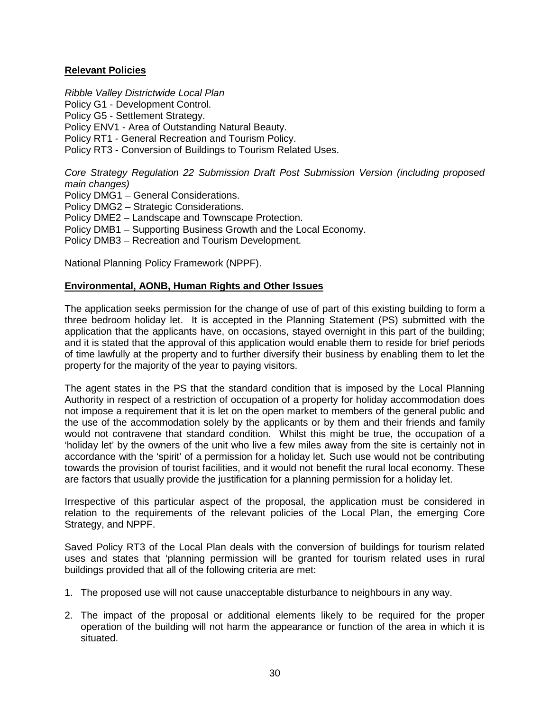## **Relevant Policies**

*Ribble Valley Districtwide Local Plan* Policy G1 - Development Control.

Policy G5 - Settlement Strategy.

Policy ENV1 - Area of Outstanding Natural Beauty.

Policy RT1 - General Recreation and Tourism Policy.

Policy RT3 - Conversion of Buildings to Tourism Related Uses.

*Core Strategy Regulation 22 Submission Draft Post Submission Version (including proposed main changes)* 

Policy DMG1 – General Considerations.

Policy DMG2 – Strategic Considerations.

Policy DME2 – Landscape and Townscape Protection.

Policy DMB1 – Supporting Business Growth and the Local Economy.

Policy DMB3 – Recreation and Tourism Development.

National Planning Policy Framework (NPPF).

## **Environmental, AONB, Human Rights and Other Issues**

The application seeks permission for the change of use of part of this existing building to form a three bedroom holiday let. It is accepted in the Planning Statement (PS) submitted with the application that the applicants have, on occasions, stayed overnight in this part of the building; and it is stated that the approval of this application would enable them to reside for brief periods of time lawfully at the property and to further diversify their business by enabling them to let the property for the majority of the year to paying visitors.

The agent states in the PS that the standard condition that is imposed by the Local Planning Authority in respect of a restriction of occupation of a property for holiday accommodation does not impose a requirement that it is let on the open market to members of the general public and the use of the accommodation solely by the applicants or by them and their friends and family would not contravene that standard condition. Whilst this might be true, the occupation of a 'holiday let' by the owners of the unit who live a few miles away from the site is certainly not in accordance with the 'spirit' of a permission for a holiday let. Such use would not be contributing towards the provision of tourist facilities, and it would not benefit the rural local economy. These are factors that usually provide the justification for a planning permission for a holiday let.

Irrespective of this particular aspect of the proposal, the application must be considered in relation to the requirements of the relevant policies of the Local Plan, the emerging Core Strategy, and NPPF.

Saved Policy RT3 of the Local Plan deals with the conversion of buildings for tourism related uses and states that 'planning permission will be granted for tourism related uses in rural buildings provided that all of the following criteria are met:

- 1. The proposed use will not cause unacceptable disturbance to neighbours in any way.
- 2. The impact of the proposal or additional elements likely to be required for the proper operation of the building will not harm the appearance or function of the area in which it is situated.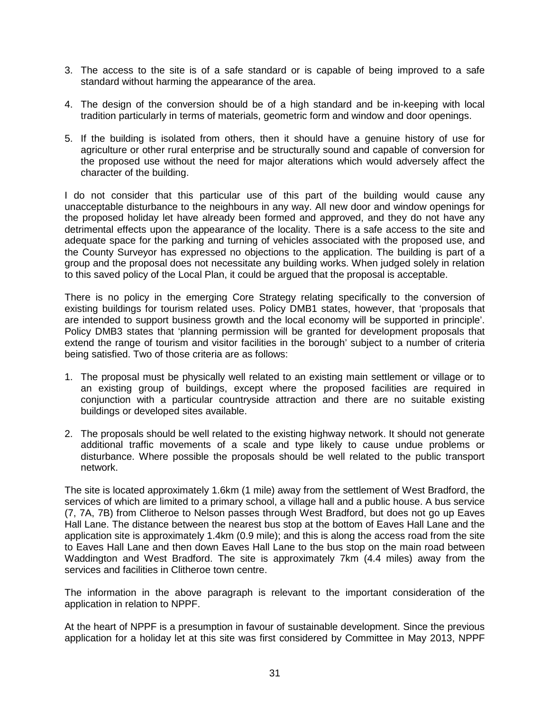- 3. The access to the site is of a safe standard or is capable of being improved to a safe standard without harming the appearance of the area.
- 4. The design of the conversion should be of a high standard and be in-keeping with local tradition particularly in terms of materials, geometric form and window and door openings.
- 5. If the building is isolated from others, then it should have a genuine history of use for agriculture or other rural enterprise and be structurally sound and capable of conversion for the proposed use without the need for major alterations which would adversely affect the character of the building.

I do not consider that this particular use of this part of the building would cause any unacceptable disturbance to the neighbours in any way. All new door and window openings for the proposed holiday let have already been formed and approved, and they do not have any detrimental effects upon the appearance of the locality. There is a safe access to the site and adequate space for the parking and turning of vehicles associated with the proposed use, and the County Surveyor has expressed no objections to the application. The building is part of a group and the proposal does not necessitate any building works. When judged solely in relation to this saved policy of the Local Plan, it could be argued that the proposal is acceptable.

There is no policy in the emerging Core Strategy relating specifically to the conversion of existing buildings for tourism related uses. Policy DMB1 states, however, that 'proposals that are intended to support business growth and the local economy will be supported in principle'. Policy DMB3 states that 'planning permission will be granted for development proposals that extend the range of tourism and visitor facilities in the borough' subject to a number of criteria being satisfied. Two of those criteria are as follows:

- 1. The proposal must be physically well related to an existing main settlement or village or to an existing group of buildings, except where the proposed facilities are required in conjunction with a particular countryside attraction and there are no suitable existing buildings or developed sites available.
- 2. The proposals should be well related to the existing highway network. It should not generate additional traffic movements of a scale and type likely to cause undue problems or disturbance. Where possible the proposals should be well related to the public transport network.

The site is located approximately 1.6km (1 mile) away from the settlement of West Bradford, the services of which are limited to a primary school, a village hall and a public house. A bus service (7, 7A, 7B) from Clitheroe to Nelson passes through West Bradford, but does not go up Eaves Hall Lane. The distance between the nearest bus stop at the bottom of Eaves Hall Lane and the application site is approximately 1.4km (0.9 mile); and this is along the access road from the site to Eaves Hall Lane and then down Eaves Hall Lane to the bus stop on the main road between Waddington and West Bradford. The site is approximately 7km (4.4 miles) away from the services and facilities in Clitheroe town centre.

The information in the above paragraph is relevant to the important consideration of the application in relation to NPPF.

At the heart of NPPF is a presumption in favour of sustainable development. Since the previous application for a holiday let at this site was first considered by Committee in May 2013, NPPF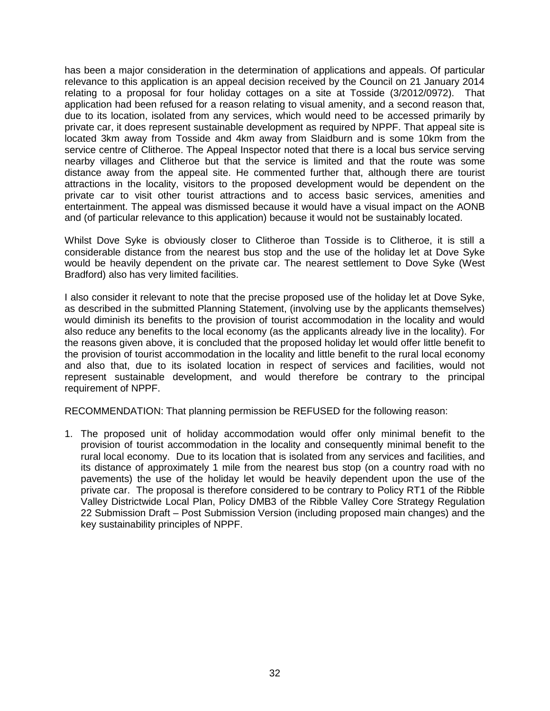has been a major consideration in the determination of applications and appeals. Of particular relevance to this application is an appeal decision received by the Council on 21 January 2014 relating to a proposal for four holiday cottages on a site at Tosside (3/2012/0972). That application had been refused for a reason relating to visual amenity, and a second reason that, due to its location, isolated from any services, which would need to be accessed primarily by private car, it does represent sustainable development as required by NPPF. That appeal site is located 3km away from Tosside and 4km away from Slaidburn and is some 10km from the service centre of Clitheroe. The Appeal Inspector noted that there is a local bus service serving nearby villages and Clitheroe but that the service is limited and that the route was some distance away from the appeal site. He commented further that, although there are tourist attractions in the locality, visitors to the proposed development would be dependent on the private car to visit other tourist attractions and to access basic services, amenities and entertainment. The appeal was dismissed because it would have a visual impact on the AONB and (of particular relevance to this application) because it would not be sustainably located.

Whilst Dove Syke is obviously closer to Clitheroe than Tosside is to Clitheroe, it is still a considerable distance from the nearest bus stop and the use of the holiday let at Dove Syke would be heavily dependent on the private car. The nearest settlement to Dove Syke (West Bradford) also has very limited facilities.

I also consider it relevant to note that the precise proposed use of the holiday let at Dove Syke, as described in the submitted Planning Statement, (involving use by the applicants themselves) would diminish its benefits to the provision of tourist accommodation in the locality and would also reduce any benefits to the local economy (as the applicants already live in the locality). For the reasons given above, it is concluded that the proposed holiday let would offer little benefit to the provision of tourist accommodation in the locality and little benefit to the rural local economy and also that, due to its isolated location in respect of services and facilities, would not represent sustainable development, and would therefore be contrary to the principal requirement of NPPF.

RECOMMENDATION: That planning permission be REFUSED for the following reason:

1. The proposed unit of holiday accommodation would offer only minimal benefit to the provision of tourist accommodation in the locality and consequently minimal benefit to the rural local economy. Due to its location that is isolated from any services and facilities, and its distance of approximately 1 mile from the nearest bus stop (on a country road with no pavements) the use of the holiday let would be heavily dependent upon the use of the private car. The proposal is therefore considered to be contrary to Policy RT1 of the Ribble Valley Districtwide Local Plan, Policy DMB3 of the Ribble Valley Core Strategy Regulation 22 Submission Draft – Post Submission Version (including proposed main changes) and the key sustainability principles of NPPF.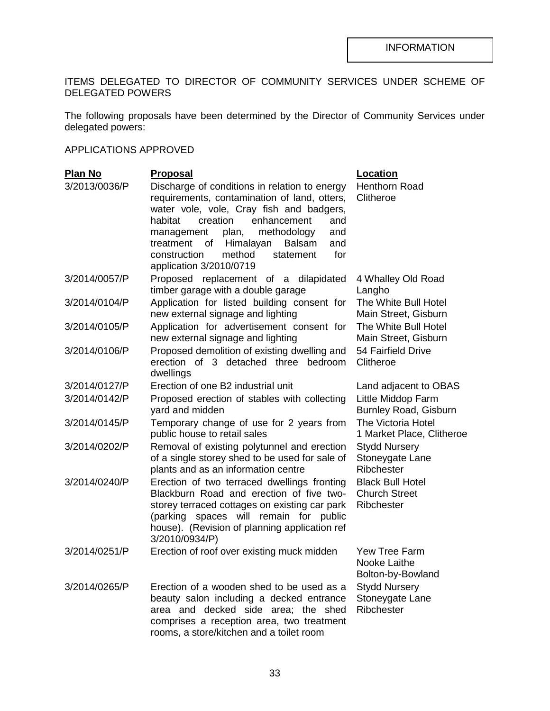# ITEMS DELEGATED TO DIRECTOR OF COMMUNITY SERVICES UNDER SCHEME OF DELEGATED POWERS

The following proposals have been determined by the Director of Community Services under delegated powers:

# APPLICATIONS APPROVED

| <b>Plan No</b> | <b>Proposal</b>                                                                                                                                                                                                                                                                                                                                                      | Location                                                      |
|----------------|----------------------------------------------------------------------------------------------------------------------------------------------------------------------------------------------------------------------------------------------------------------------------------------------------------------------------------------------------------------------|---------------------------------------------------------------|
| 3/2013/0036/P  | Discharge of conditions in relation to energy<br>requirements, contamination of land, otters,<br>water vole, vole, Cray fish and badgers,<br>creation<br>enhancement<br>habitat<br>and<br>plan,<br>methodology<br>management<br>and<br>treatment<br>of<br>Himalayan<br><b>Balsam</b><br>and<br>for<br>method<br>construction<br>statement<br>application 3/2010/0719 | Henthorn Road<br>Clitheroe                                    |
| 3/2014/0057/P  | Proposed replacement of a dilapidated<br>timber garage with a double garage                                                                                                                                                                                                                                                                                          | 4 Whalley Old Road<br>Langho                                  |
| 3/2014/0104/P  | Application for listed building consent for<br>new external signage and lighting                                                                                                                                                                                                                                                                                     | The White Bull Hotel<br>Main Street, Gisburn                  |
| 3/2014/0105/P  | Application for advertisement consent for<br>new external signage and lighting                                                                                                                                                                                                                                                                                       | The White Bull Hotel<br>Main Street, Gisburn                  |
| 3/2014/0106/P  | Proposed demolition of existing dwelling and<br>erection of 3 detached three<br>bedroom<br>dwellings                                                                                                                                                                                                                                                                 | 54 Fairfield Drive<br>Clitheroe                               |
| 3/2014/0127/P  | Erection of one B2 industrial unit                                                                                                                                                                                                                                                                                                                                   | Land adjacent to OBAS                                         |
| 3/2014/0142/P  | Proposed erection of stables with collecting<br>yard and midden                                                                                                                                                                                                                                                                                                      | Little Middop Farm<br><b>Burnley Road, Gisburn</b>            |
| 3/2014/0145/P  | Temporary change of use for 2 years from<br>public house to retail sales                                                                                                                                                                                                                                                                                             | The Victoria Hotel<br>1 Market Place, Clitheroe               |
| 3/2014/0202/P  | Removal of existing polytunnel and erection<br>of a single storey shed to be used for sale of<br>plants and as an information centre                                                                                                                                                                                                                                 | <b>Stydd Nursery</b><br>Stoneygate Lane<br>Ribchester         |
| 3/2014/0240/P  | Erection of two terraced dwellings fronting<br>Blackburn Road and erection of five two-<br>storey terraced cottages on existing car park<br>(parking spaces will remain for public<br>house). (Revision of planning application ref<br>3/2010/0934/P)                                                                                                                | <b>Black Bull Hotel</b><br><b>Church Street</b><br>Ribchester |
| 3/2014/0251/P  | Erection of roof over existing muck midden                                                                                                                                                                                                                                                                                                                           | <b>Yew Tree Farm</b><br>Nooke Laithe<br>Bolton-by-Bowland     |
| 3/2014/0265/P  | Erection of a wooden shed to be used as a<br>beauty salon including a decked entrance<br>area and decked side area; the shed<br>comprises a reception area, two treatment<br>rooms, a store/kitchen and a toilet room                                                                                                                                                | <b>Stydd Nursery</b><br>Stoneygate Lane<br>Ribchester         |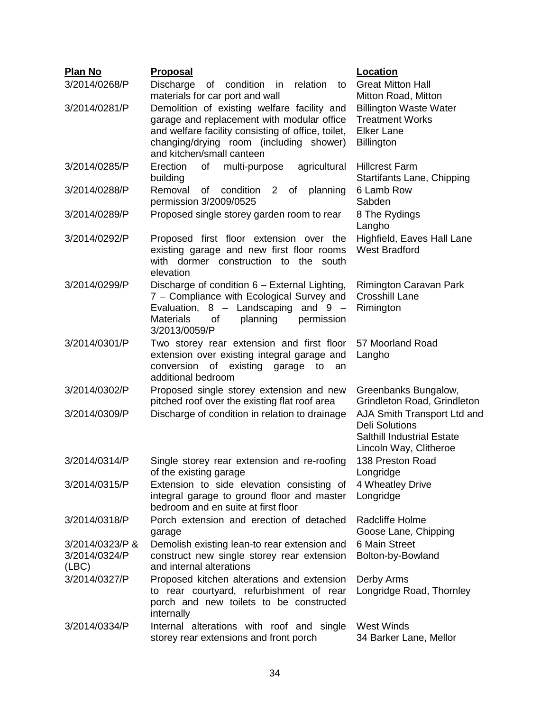| <b>Plan No</b>                            | <b>Proposal</b>                                                                                                                                                                                                         | Location                                                                                                            |
|-------------------------------------------|-------------------------------------------------------------------------------------------------------------------------------------------------------------------------------------------------------------------------|---------------------------------------------------------------------------------------------------------------------|
| 3/2014/0268/P                             | Discharge<br>of condition<br>relation<br>in<br>to<br>materials for car port and wall                                                                                                                                    | <b>Great Mitton Hall</b><br>Mitton Road, Mitton                                                                     |
| 3/2014/0281/P                             | Demolition of existing welfare facility and<br>garage and replacement with modular office<br>and welfare facility consisting of office, toilet,<br>changing/drying room (including shower)<br>and kitchen/small canteen | <b>Billington Waste Water</b><br><b>Treatment Works</b><br><b>Elker Lane</b><br><b>Billington</b>                   |
| 3/2014/0285/P                             | of<br>multi-purpose<br>Erection<br>agricultural<br>building                                                                                                                                                             | <b>Hillcrest Farm</b><br>Startifants Lane, Chipping                                                                 |
| 3/2014/0288/P                             | Removal<br>condition<br>2 of<br>planning<br>of<br>permission 3/2009/0525                                                                                                                                                | 6 Lamb Row<br>Sabden                                                                                                |
| 3/2014/0289/P                             | Proposed single storey garden room to rear                                                                                                                                                                              | 8 The Rydings<br>Langho                                                                                             |
| 3/2014/0292/P                             | Proposed first floor extension over the<br>existing garage and new first floor rooms<br>with dormer construction to the south<br>elevation                                                                              | Highfield, Eaves Hall Lane<br><b>West Bradford</b>                                                                  |
| 3/2014/0299/P                             | Discharge of condition 6 - External Lighting,<br>7 - Compliance with Ecological Survey and<br>Evaluation, 8 - Landscaping<br>and $9 -$<br><b>Materials</b><br>planning<br>permission<br>οf<br>3/2013/0059/P             | Rimington Caravan Park<br><b>Crosshill Lane</b><br>Rimington                                                        |
| 3/2014/0301/P                             | Two storey rear extension and first floor<br>extension over existing integral garage and<br>of existing garage<br>conversion<br>to<br>an<br>additional bedroom                                                          | 57 Moorland Road<br>Langho                                                                                          |
| 3/2014/0302/P                             | Proposed single storey extension and new<br>pitched roof over the existing flat roof area                                                                                                                               | Greenbanks Bungalow,<br>Grindleton Road, Grindleton                                                                 |
| 3/2014/0309/P                             | Discharge of condition in relation to drainage                                                                                                                                                                          | AJA Smith Transport Ltd and<br><b>Deli Solutions</b><br><b>Salthill Industrial Estate</b><br>Lincoln Way, Clitheroe |
| 3/2014/0314/P                             | Single storey rear extension and re-roofing<br>of the existing garage                                                                                                                                                   | 138 Preston Road<br>Longridge                                                                                       |
| 3/2014/0315/P                             | Extension to side elevation consisting of<br>integral garage to ground floor and master<br>bedroom and en suite at first floor                                                                                          | 4 Wheatley Drive<br>Longridge                                                                                       |
| 3/2014/0318/P                             | Porch extension and erection of detached<br>garage                                                                                                                                                                      | Radcliffe Holme<br>Goose Lane, Chipping                                                                             |
| 3/2014/0323/P &<br>3/2014/0324/P<br>(ABC) | Demolish existing lean-to rear extension and<br>construct new single storey rear extension<br>and internal alterations                                                                                                  | 6 Main Street<br>Bolton-by-Bowland                                                                                  |
| 3/2014/0327/P                             | Proposed kitchen alterations and extension<br>to rear courtyard, refurbishment of rear<br>porch and new toilets to be constructed<br>internally                                                                         | Derby Arms<br>Longridge Road, Thornley                                                                              |
| 3/2014/0334/P                             | Internal alterations with roof and single<br>storey rear extensions and front porch                                                                                                                                     | <b>West Winds</b><br>34 Barker Lane, Mellor                                                                         |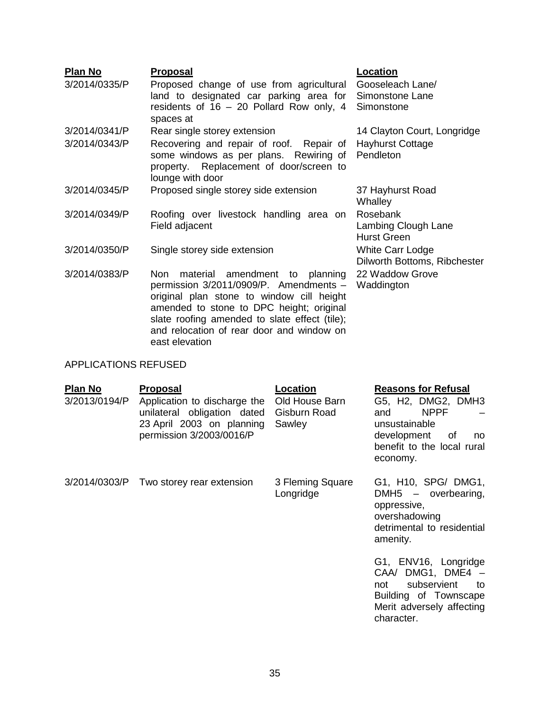| <b>Plan No</b><br>3/2014/0335/P | <b>Proposal</b><br>Proposed change of use from agricultural<br>land to designated car parking area for<br>residents of 16 – 20 Pollard Row only, 4<br>spaces at                                                                     | Location<br>Gooseleach Lane/<br>Simonstone Lane<br>Simonstone |
|---------------------------------|-------------------------------------------------------------------------------------------------------------------------------------------------------------------------------------------------------------------------------------|---------------------------------------------------------------|
| 3/2014/0341/P                   | Rear single storey extension                                                                                                                                                                                                        | 14 Clayton Court, Longridge                                   |
| 3/2014/0343/P                   | Recovering and repair of roof. Repair of Hayhurst Cottage<br>some windows as per plans. Rewiring of Pendleton<br>property. Replacement of door/screen to<br>lounge with door                                                        |                                                               |
| 3/2014/0345/P                   | Proposed single storey side extension                                                                                                                                                                                               | 37 Hayhurst Road<br>Whalley                                   |
| 3/2014/0349/P                   | Roofing over livestock handling area on<br>Field adjacent                                                                                                                                                                           | Rosebank<br>Lambing Clough Lane<br><b>Hurst Green</b>         |
| 3/2014/0350/P                   | Single storey side extension                                                                                                                                                                                                        | White Carr Lodge<br>Dilworth Bottoms, Ribchester              |
| 3/2014/0383/P                   | amendment<br>planning<br>material<br>Non.<br>to<br>permission 3/2011/0909/P. Amendments -<br>original plan stone to window cill height<br>amended to stone to DPC height; original<br>slate roofing amended to slate effect (tile); | 22 Waddow Grove<br>Waddington                                 |

and relocation of rear door and window on

# APPLICATIONS REFUSED

east elevation

| <b>Plan No</b><br>3/2013/0194/P | <b>Proposal</b><br>Application to discharge the<br>unilateral obligation dated<br>23 April 2003 on planning<br>permission 3/2003/0016/P | Location<br>Old House Barn<br>Gisburn Road<br>Sawley | <b>Reasons for Refusal</b><br>G5, H2, DMG2, DMH3<br><b>NPPF</b><br>and<br>unsustainable<br>development<br>0f<br>no<br>benefit to the local rural<br>economy. |
|---------------------------------|-----------------------------------------------------------------------------------------------------------------------------------------|------------------------------------------------------|--------------------------------------------------------------------------------------------------------------------------------------------------------------|
|                                 | 3/2014/0303/P Two storey rear extension                                                                                                 | 3 Fleming Square<br>Longridge                        | G1, H10, SPG/ DMG1,<br>DMH5 - overbearing,<br>oppressive,<br>overshadowing<br>detrimental to residential<br>amenity.                                         |
|                                 |                                                                                                                                         |                                                      | G1, ENV16, Longridge<br>CAA/ DMG1, DME4 -<br>subservient<br>not<br>to<br>Building of Townscape<br>Merit adversely affecting<br>character.                    |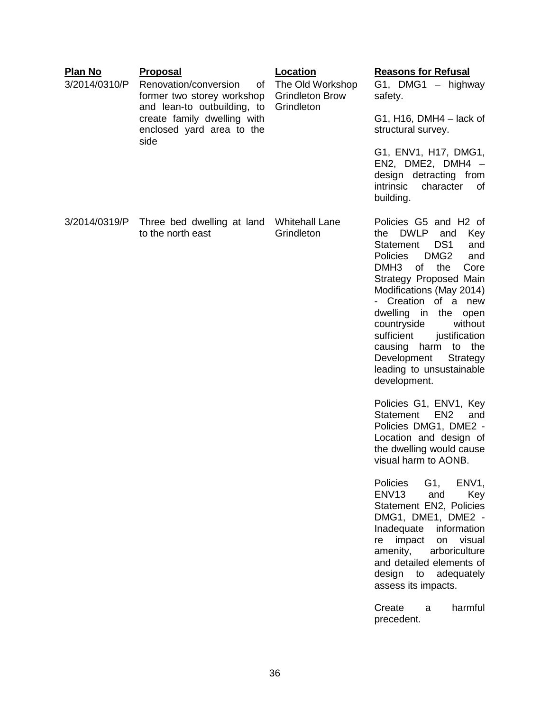| <b>Plan No</b><br>3/2014/0310/P | <b>Proposal</b><br>Renovation/conversion<br>οf<br>former two storey workshop<br>and lean-to outbuilding, to<br>create family dwelling with<br>enclosed yard area to the<br>side | <b>Location</b><br>The Old Workshop<br><b>Grindleton Brow</b><br>Grindleton | <b>Reasons for Refusal</b><br>G1, DMG1 - highway<br>safety.<br>$G1$ , H16, DMH4 – lack of<br>structural survey.<br>G1, ENV1, H17, DMG1,<br>EN2, DME2, DMH4 $-$<br>design detracting from<br>intrinsic<br>character<br>0f<br>building.                                                                                                                                                                                                                                                                                                                                                                                                                                                                                                                                                                                                                                                                                                                     |
|---------------------------------|---------------------------------------------------------------------------------------------------------------------------------------------------------------------------------|-----------------------------------------------------------------------------|-----------------------------------------------------------------------------------------------------------------------------------------------------------------------------------------------------------------------------------------------------------------------------------------------------------------------------------------------------------------------------------------------------------------------------------------------------------------------------------------------------------------------------------------------------------------------------------------------------------------------------------------------------------------------------------------------------------------------------------------------------------------------------------------------------------------------------------------------------------------------------------------------------------------------------------------------------------|
| 3/2014/0319/P                   | Three bed dwelling at land<br>to the north east                                                                                                                                 | <b>Whitehall Lane</b><br>Grindleton                                         | Policies G5 and H2 of<br><b>DWLP</b><br>the<br>and<br>Key<br>DS <sub>1</sub><br>and<br>Statement<br>DMG <sub>2</sub><br><b>Policies</b><br>and<br>DMH <sub>3</sub><br>of<br>the<br>Core<br>Strategy Proposed Main<br>Modifications (May 2014)<br>Creation of a new<br>dwelling in<br>the<br>open<br>countryside<br>without<br>sufficient<br>justification<br>causing<br>harm<br>to the<br>Development<br>Strategy<br>leading to unsustainable<br>development.<br>Policies G1, ENV1, Key<br>EN <sub>2</sub><br>Statement<br>and<br>Policies DMG1, DME2 -<br>Location and design of<br>the dwelling would cause<br>visual harm to AONB.<br>G1, ENV1,<br>Policies<br>and<br>ENV <sub>13</sub><br>Key<br>Statement EN2, Policies<br>DMG1, DME1, DME2 -<br>Inadequate<br>information<br>impact<br>on visual<br>re<br>amenity, arboriculture<br>and detailed elements of<br>design to adequately<br>assess its impacts.<br>Create<br>harmful<br>a<br>precedent. |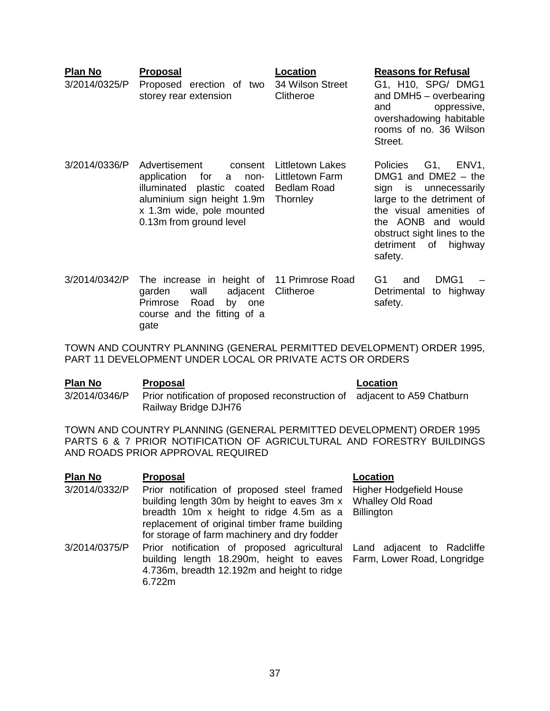| <b>Plan No</b><br>3/2014/0325/P | Proposal<br>Proposed erection of two<br>storey rear extension                                                                                                                      | Location<br>34 Wilson Street<br>Clitheroe                             | <b>Reasons for Refusal</b><br>G1, H10, SPG/ DMG1<br>and DMH5 - overbearing<br>oppressive,<br>and<br>overshadowing habitable<br>rooms of no. 36 Wilson<br>Street.                                                                     |
|---------------------------------|------------------------------------------------------------------------------------------------------------------------------------------------------------------------------------|-----------------------------------------------------------------------|--------------------------------------------------------------------------------------------------------------------------------------------------------------------------------------------------------------------------------------|
| 3/2014/0336/P                   | Advertisement<br>consent<br>application<br>for<br>non-<br>a<br>illuminated<br>plastic coated<br>aluminium sign height 1.9m<br>x 1.3m wide, pole mounted<br>0.13m from ground level | Littletown Lakes<br>Littletown Farm<br><b>Bedlam Road</b><br>Thornley | G1, ENV1,<br><b>Policies</b><br>DMG1 and DME2 $-$ the<br>sign is unnecessarily<br>large to the detriment of<br>the visual amenities of<br>the AONB and would<br>obstruct sight lines to the<br>of<br>detriment<br>highway<br>safety. |
| 3/2014/0342/P                   | The increase in height of 11 Primrose Road<br>adjacent<br>garden<br>wall<br>Primrose<br>Road<br>by<br>one<br>course and the fitting of a                                           | Clitheroe                                                             | DMG1<br>G1<br>and<br>to highway<br>Detrimental<br>safety.                                                                                                                                                                            |

TOWN AND COUNTRY PLANNING (GENERAL PERMITTED DEVELOPMENT) ORDER 1995, PART 11 DEVELOPMENT UNDER LOCAL OR PRIVATE ACTS OR ORDERS

gate

| Plan No       | <b>Proposal</b>                                                                                   | Location |
|---------------|---------------------------------------------------------------------------------------------------|----------|
| 3/2014/0346/P | Prior notification of proposed reconstruction of adjacent to A59 Chatburn<br>Railway Bridge DJH76 |          |

TOWN AND COUNTRY PLANNING (GENERAL PERMITTED DEVELOPMENT) ORDER 1995 PARTS 6 & 7 PRIOR NOTIFICATION OF AGRICULTURAL AND FORESTRY BUILDINGS AND ROADS PRIOR APPROVAL REQUIRED

| P <u>lan No</u> | <b>Proposal</b>                                                                                                                                                                                                                                                                             | Location |
|-----------------|---------------------------------------------------------------------------------------------------------------------------------------------------------------------------------------------------------------------------------------------------------------------------------------------|----------|
| 3/2014/0332/P   | Prior notification of proposed steel framed Higher Hodgefield House<br>building length 30m by height to eaves 3m x  Whalley Old Road<br>breadth 10m x height to ridge 4.5m as a Billington<br>replacement of original timber frame building<br>for storage of farm machinery and dry fodder |          |
| 3/2014/0375/P   | Prior notification of proposed agricultural Land adjacent to Radcliffe<br>building length 18.290m, height to eaves Farm, Lower Road, Longridge<br>4.736m, breadth 12.192m and height to ridge<br>6.722m                                                                                     |          |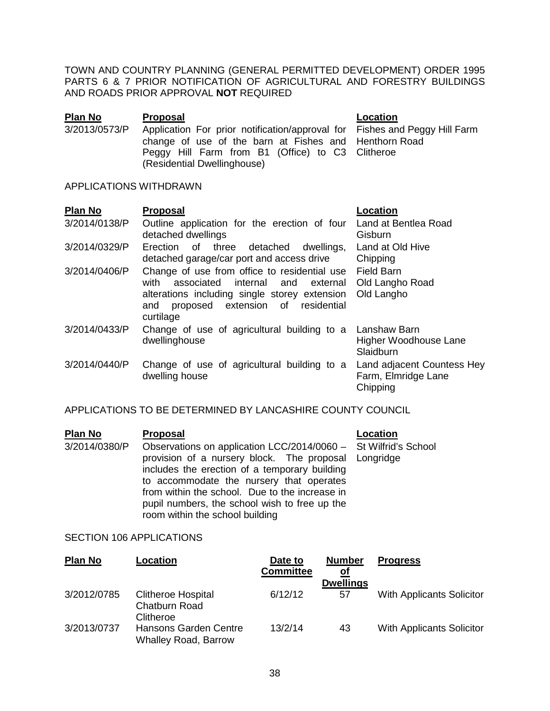TOWN AND COUNTRY PLANNING (GENERAL PERMITTED DEVELOPMENT) ORDER 1995 PARTS 6 & 7 PRIOR NOTIFICATION OF AGRICULTURAL AND FORESTRY BUILDINGS AND ROADS PRIOR APPROVAL **NOT** REQUIRED

| Plan No       | <b>Proposal</b>                                                                                                                                                                                                        | Location |
|---------------|------------------------------------------------------------------------------------------------------------------------------------------------------------------------------------------------------------------------|----------|
| 3/2013/0573/P | Application For prior notification/approval for Fishes and Peggy Hill Farm<br>change of use of the barn at Fishes and Henthorn Road<br>Peggy Hill Farm from B1 (Office) to C3 Clitheroe<br>(Residential Dwellinghouse) |          |

#### APPLICATIONS WITHDRAWN

| Plan No       | <b>Proposal</b>                                                                                                                                                                           | <b>Location</b>                                               |
|---------------|-------------------------------------------------------------------------------------------------------------------------------------------------------------------------------------------|---------------------------------------------------------------|
| 3/2014/0138/P | Outline application for the erection of four<br>detached dwellings                                                                                                                        | Land at Bentlea Road<br>Gisburn                               |
| 3/2014/0329/P | Erection of three detached dwellings,<br>detached garage/car port and access drive                                                                                                        | Land at Old Hive<br>Chipping                                  |
| 3/2014/0406/P | Change of use from office to residential use<br>with<br>associated internal and<br>alterations including single storey extension<br>proposed extension of residential<br>and<br>curtilage | <b>Field Barn</b><br>external Old Langho Road<br>Old Langho   |
| 3/2014/0433/P | Change of use of agricultural building to a Lanshaw Barn<br>dwellinghouse                                                                                                                 | Higher Woodhouse Lane<br>Slaidburn                            |
| 3/2014/0440/P | Change of use of agricultural building to a<br>dwelling house                                                                                                                             | Land adjacent Countess Hey<br>Farm, Elmridge Lane<br>Chipping |

## APPLICATIONS TO BE DETERMINED BY LANCASHIRE COUNTY COUNCIL

| <b>Plan No</b> | <b>Proposal</b>                                                                                                                                                                                                                                                                                                                                            | Location |
|----------------|------------------------------------------------------------------------------------------------------------------------------------------------------------------------------------------------------------------------------------------------------------------------------------------------------------------------------------------------------------|----------|
| 3/2014/0380/P  | Observations on application LCC/2014/0060 - St Wilfrid's School<br>provision of a nursery block. The proposal Longridge<br>includes the erection of a temporary building<br>to accommodate the nursery that operates<br>from within the school. Due to the increase in<br>pupil numbers, the school wish to free up the<br>room within the school building |          |

## SECTION 106 APPLICATIONS

| <b>Plan No</b> | Location                                                | Date to<br><b>Committee</b> | <b>Number</b><br>0f | <b>Progress</b>                  |
|----------------|---------------------------------------------------------|-----------------------------|---------------------|----------------------------------|
|                |                                                         |                             | <b>Dwellings</b>    |                                  |
| 3/2012/0785    | <b>Clitheroe Hospital</b><br>Chatburn Road<br>Clitheroe | 6/12/12                     | 57                  | <b>With Applicants Solicitor</b> |
| 3/2013/0737    | Hansons Garden Centre<br><b>Whalley Road, Barrow</b>    | 13/2/14                     | 43                  | <b>With Applicants Solicitor</b> |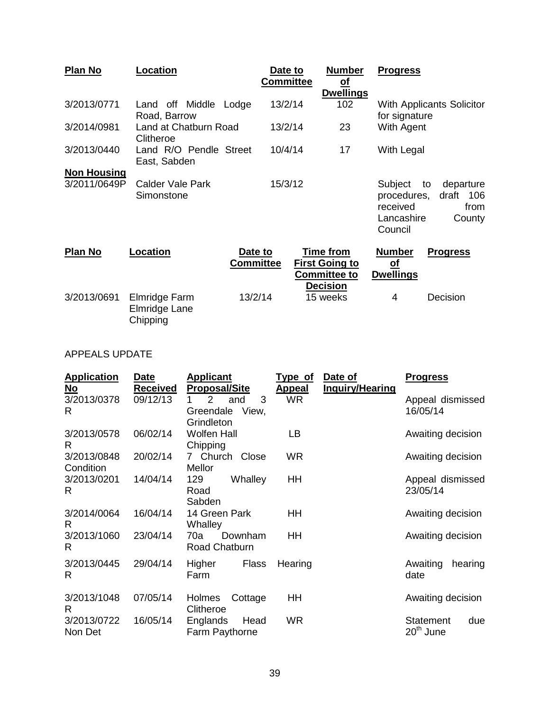| Plan No            | Location                                   |                             | Date to<br><b>Committee</b> | <b>Number</b><br><u>of</u><br><b>Dwellings</b>                                      | <b>Progress</b>                                             |                                                |
|--------------------|--------------------------------------------|-----------------------------|-----------------------------|-------------------------------------------------------------------------------------|-------------------------------------------------------------|------------------------------------------------|
| 3/2013/0771        | Land off Middle<br>Road, Barrow            | Lodge                       | 13/2/14                     | 102                                                                                 | for signature                                               | With Applicants Solicitor                      |
| 3/2014/0981        | Land at Chatburn Road<br>Clitheroe         |                             | 13/2/14                     | 23                                                                                  | With Agent                                                  |                                                |
| 3/2013/0440        | Land R/O Pendle Street<br>East, Sabden     |                             | 10/4/14                     | 17                                                                                  | With Legal                                                  |                                                |
| <b>Non Housing</b> |                                            |                             |                             |                                                                                     |                                                             |                                                |
| 3/2011/0649P       | Calder Vale Park<br>Simonstone             |                             | 15/3/12                     |                                                                                     | Subject<br>procedures,<br>received<br>Lancashire<br>Council | to<br>departure<br>draft 106<br>from<br>County |
| Plan No            | Location                                   | Date to<br><b>Committee</b> |                             | <b>Time from</b><br><b>First Going to</b><br><b>Committee to</b><br><b>Decision</b> | <b>Number</b><br><u>of</u><br><b>Dwellings</b>              | <b>Progress</b>                                |
| 3/2013/0691        | Elmridge Farm<br>Elmridge Lane<br>Chipping | 13/2/14                     |                             | 15 weeks                                                                            | 4                                                           | Decision                                       |

# APPEALS UPDATE

| <b>Application</b><br>No | Date<br>Received | <b>Applicant</b><br><b>Proposal/Site</b>                       | Type of<br><u>Appeal</u> | Date of<br><b>Inquiry/Hearing</b> | <b>Progress</b>                 |
|--------------------------|------------------|----------------------------------------------------------------|--------------------------|-----------------------------------|---------------------------------|
| 3/2013/0378<br>R         | 09/12/13         | 3<br>$\overline{2}$<br>and<br>View,<br>Greendale<br>Grindleton | <b>WR</b>                |                                   | Appeal dismissed<br>16/05/14    |
| 3/2013/0578<br>R         | 06/02/14         | <b>Wolfen Hall</b><br>Chipping                                 | LВ                       |                                   | Awaiting decision               |
| 3/2013/0848<br>Condition | 20/02/14         | 7 Church Close<br>Mellor                                       | <b>WR</b>                |                                   | Awaiting decision               |
| 3/2013/0201<br>R         | 14/04/14         | 129<br>Whalley<br>Road<br>Sabden                               | HH                       |                                   | Appeal dismissed<br>23/05/14    |
| 3/2014/0064<br>R         | 16/04/14         | 14 Green Park<br>Whalley                                       | ΗH                       |                                   | Awaiting decision               |
| 3/2013/1060<br>R         | 23/04/14         | 70a<br>Downham<br>Road Chatburn                                | HH                       |                                   | Awaiting decision               |
| 3/2013/0445<br>R         | 29/04/14         | Higher<br>Flass<br>Farm                                        | Hearing                  |                                   | Awaiting<br>hearing<br>date     |
| 3/2013/1048<br>R.        | 07/05/14         | Holmes<br>Cottage<br>Clitheroe                                 | ΗH                       |                                   | Awaiting decision               |
| 3/2013/0722<br>Non Det   | 16/05/14         | Englands<br>Head<br>Farm Paythorne                             | WR.                      |                                   | Statement<br>due<br>$20th$ June |